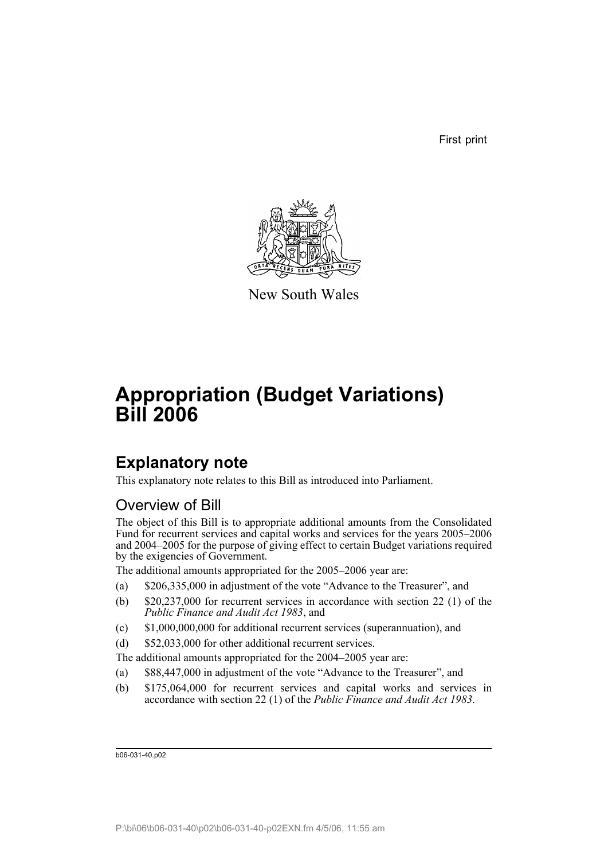First print



New South Wales

# **Appropriation (Budget Variations) Bill 2006**

# **Explanatory note**

This explanatory note relates to this Bill as introduced into Parliament.

## Overview of Bill

The object of this Bill is to appropriate additional amounts from the Consolidated Fund for recurrent services and capital works and services for the years 2005–2006 and 2004–2005 for the purpose of giving effect to certain Budget variations required by the exigencies of Government.

The additional amounts appropriated for the 2005–2006 year are:

- (a) \$206,335,000 in adjustment of the vote "Advance to the Treasurer", and
- (b) \$20,237,000 for recurrent services in accordance with section 22 (1) of the *Public Finance and Audit Act 1983*, and
- (c) \$1,000,000,000 for additional recurrent services (superannuation), and

(d) \$52,033,000 for other additional recurrent services.

The additional amounts appropriated for the 2004–2005 year are:

- (a) \$88,447,000 in adjustment of the vote "Advance to the Treasurer", and
- (b) \$175,064,000 for recurrent services and capital works and services in accordance with section 22 (1) of the *Public Finance and Audit Act 1983*.

b06-031-40.p02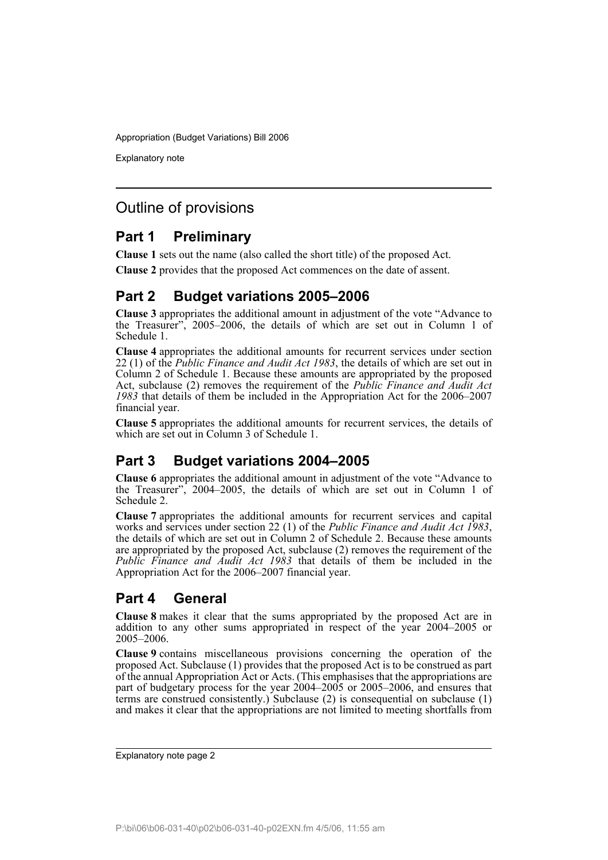Explanatory note

## Outline of provisions

## **Part 1 Preliminary**

**Clause 1** sets out the name (also called the short title) of the proposed Act. **Clause 2** provides that the proposed Act commences on the date of assent.

# **Part 2 Budget variations 2005–2006**

**Clause 3** appropriates the additional amount in adjustment of the vote "Advance to the Treasurer", 2005–2006, the details of which are set out in Column 1 of Schedule 1.

**Clause 4** appropriates the additional amounts for recurrent services under section 22 (1) of the *Public Finance and Audit Act 1983*, the details of which are set out in Column 2 of Schedule 1. Because these amounts are appropriated by the proposed Act, subclause (2) removes the requirement of the *Public Finance and Audit Act 1983* that details of them be included in the Appropriation Act for the 2006–2007 financial year.

**Clause 5** appropriates the additional amounts for recurrent services, the details of which are set out in Column 3 of Schedule 1.

## **Part 3 Budget variations 2004–2005**

**Clause 6** appropriates the additional amount in adjustment of the vote "Advance to the Treasurer", 2004–2005, the details of which are set out in Column 1 of Schedule 2.

**Clause 7** appropriates the additional amounts for recurrent services and capital works and services under section 22 (1) of the *Public Finance and Audit Act 1983*, the details of which are set out in Column 2 of Schedule 2. Because these amounts are appropriated by the proposed Act, subclause (2) removes the requirement of the *Public Finance and Audit Act 1983* that details of them be included in the Appropriation Act for the 2006–2007 financial year.

## **Part 4 General**

**Clause 8** makes it clear that the sums appropriated by the proposed Act are in addition to any other sums appropriated in respect of the year 2004–2005 or 2005–2006.

**Clause 9** contains miscellaneous provisions concerning the operation of the proposed Act. Subclause (1) provides that the proposed Act is to be construed as part of the annual Appropriation Act or Acts. (This emphasises that the appropriations are part of budgetary process for the year 2004–2005 or 2005–2006, and ensures that terms are construed consistently.) Subclause (2) is consequential on subclause (1) and makes it clear that the appropriations are not limited to meeting shortfalls from

Explanatory note page 2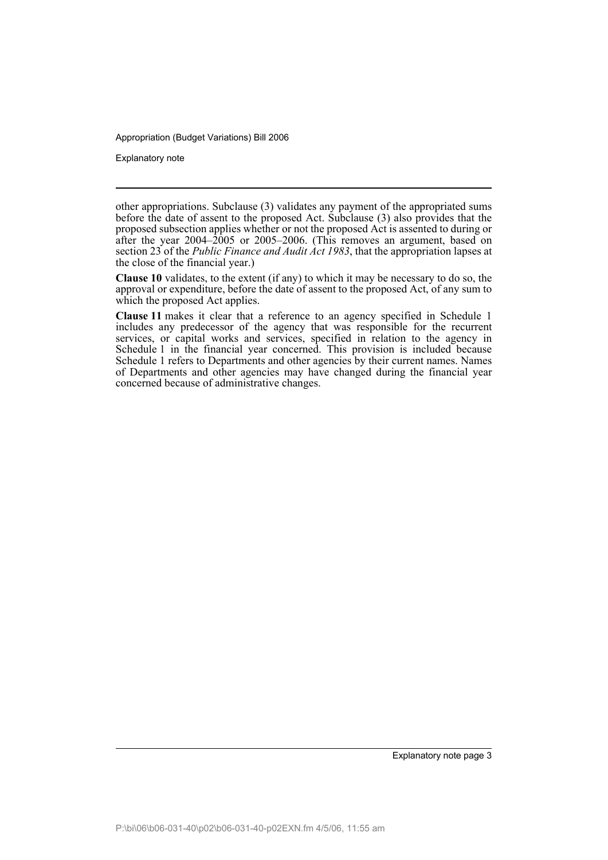Explanatory note

other appropriations. Subclause (3) validates any payment of the appropriated sums before the date of assent to the proposed Act. Subclause (3) also provides that the proposed subsection applies whether or not the proposed Act is assented to during or after the year 2004–2005 or 2005–2006. (This removes an argument, based on section 23 of the *Public Finance and Audit Act 1983*, that the appropriation lapses at the close of the financial year.)

**Clause 10** validates, to the extent (if any) to which it may be necessary to do so, the approval or expenditure, before the date of assent to the proposed Act, of any sum to which the proposed Act applies.

**Clause 11** makes it clear that a reference to an agency specified in Schedule 1 includes any predecessor of the agency that was responsible for the recurrent services, or capital works and services, specified in relation to the agency in Schedule 1 in the financial year concerned. This provision is included because Schedule 1 refers to Departments and other agencies by their current names. Names of Departments and other agencies may have changed during the financial year concerned because of administrative changes.

Explanatory note page 3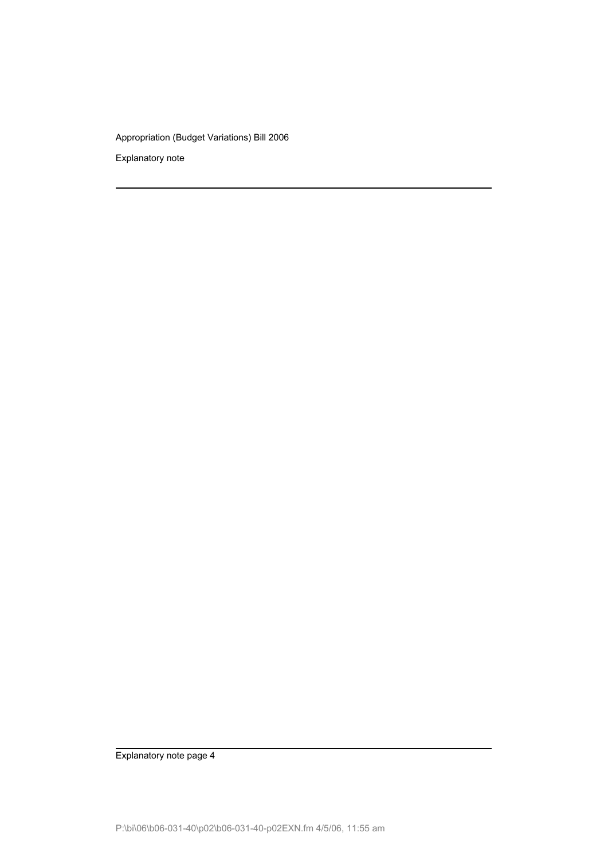Explanatory note

Explanatory note page 4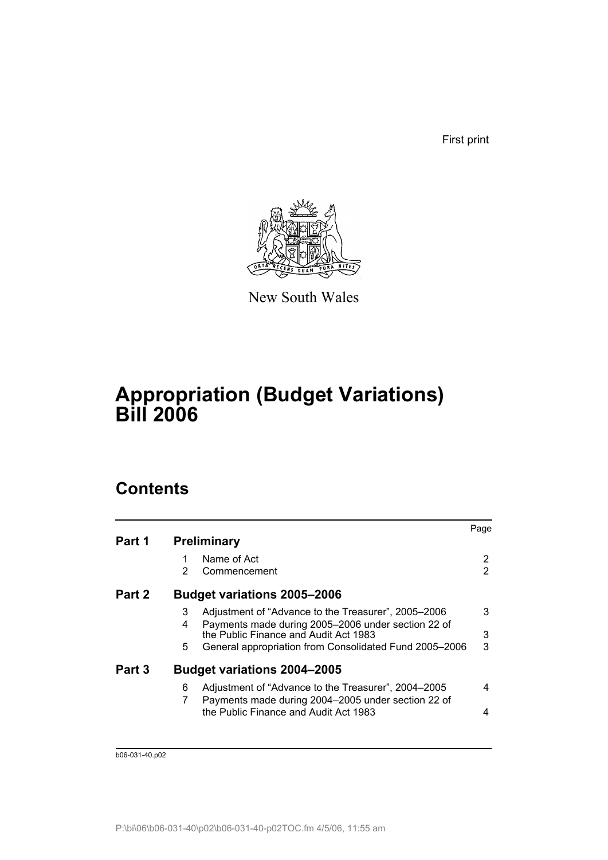First print



New South Wales

# **Appropriation (Budget Variations) Bill 2006**

# **Contents**

|        |   |                                                                                             | Page                  |
|--------|---|---------------------------------------------------------------------------------------------|-----------------------|
| Part 1 |   | <b>Preliminary</b>                                                                          |                       |
|        | 1 | Name of Act                                                                                 | $\mathbf{2}^{\prime}$ |
|        | 2 | Commencement                                                                                | $\overline{2}$        |
| Part 2 |   | <b>Budget variations 2005-2006</b>                                                          |                       |
|        | 3 | Adjustment of "Advance to the Treasurer", 2005–2006                                         | 3                     |
|        | 4 | Payments made during 2005-2006 under section 22 of<br>the Public Finance and Audit Act 1983 |                       |
|        | 5 | General appropriation from Consolidated Fund 2005–2006                                      | 3<br>3                |
|        |   |                                                                                             |                       |
| Part 3 |   | <b>Budget variations 2004-2005</b>                                                          |                       |
|        | 6 | Adjustment of "Advance to the Treasurer", 2004–2005                                         | 4                     |
|        | 7 | Payments made during 2004-2005 under section 22 of                                          |                       |
|        |   | the Public Finance and Audit Act 1983                                                       | 4                     |
|        |   |                                                                                             |                       |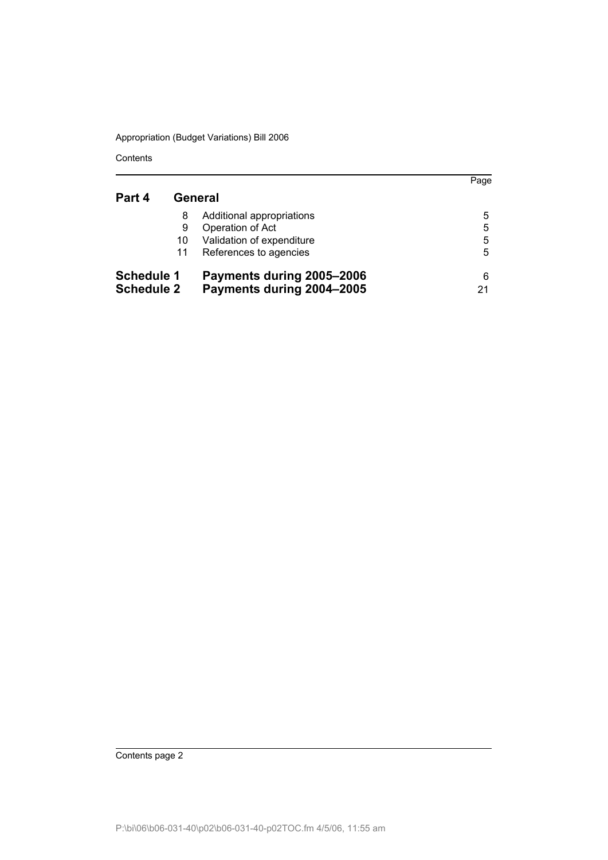Contents

|                   |    |                           | Page |
|-------------------|----|---------------------------|------|
| Part 4            |    | General                   |      |
|                   | 8  | Additional appropriations | 5    |
|                   | 9  | Operation of Act          | 5    |
|                   | 10 | Validation of expenditure | 5    |
|                   | 11 | References to agencies    | 5    |
| <b>Schedule 1</b> |    | Payments during 2005-2006 | 6    |
| <b>Schedule 2</b> |    | Payments during 2004-2005 | 21   |

Contents page 2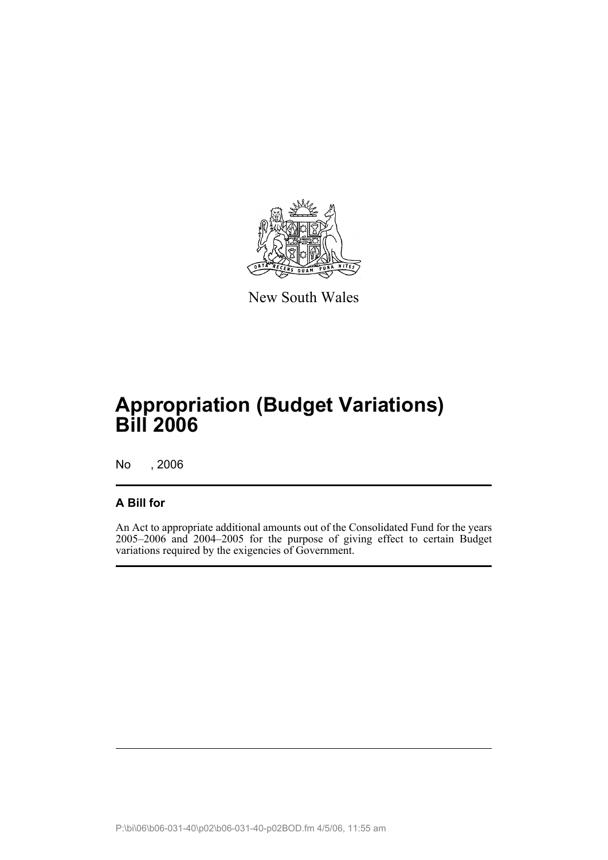

New South Wales

# **Appropriation (Budget Variations) Bill 2006**

No , 2006

#### **A Bill for**

An Act to appropriate additional amounts out of the Consolidated Fund for the years 2005–2006 and 2004–2005 for the purpose of giving effect to certain Budget variations required by the exigencies of Government.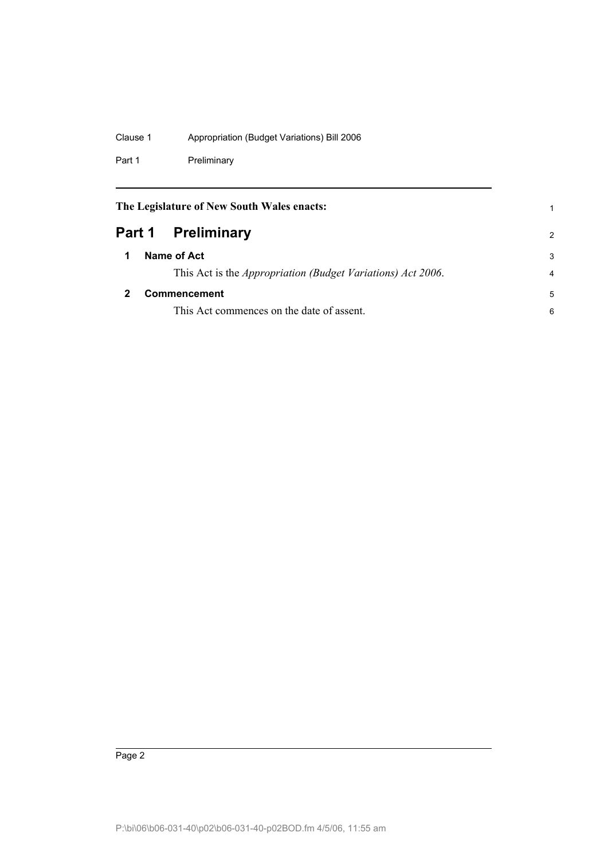# Clause 1 Appropriation (Budget Variations) Bill 2006

Part 1 Preliminary

| The Legislature of New South Wales enacts: |        | 1                                                                   |                         |
|--------------------------------------------|--------|---------------------------------------------------------------------|-------------------------|
|                                            | Part 1 | <b>Preliminary</b>                                                  | $\mathcal{P}$           |
|                                            |        | Name of Act                                                         | 3                       |
|                                            |        | This Act is the <i>Appropriation (Budget Variations) Act 2006</i> . | $\overline{\mathbf{4}}$ |
|                                            |        | Commencement                                                        | 5                       |
|                                            |        | This Act commences on the date of assent.                           | 6                       |
|                                            |        |                                                                     |                         |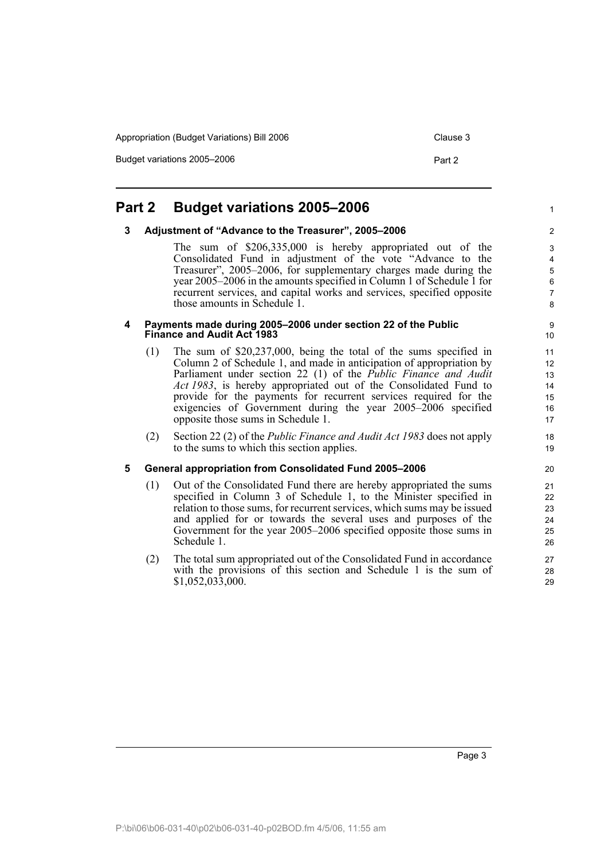Appropriation (Budget Variations) Bill 2006 Clause 3

Budget variations 2005–2006 Part 2

#### **Part 2 Budget variations 2005–2006 3 Adjustment of "Advance to the Treasurer", 2005–2006** The sum of \$206,335,000 is hereby appropriated out of the Consolidated Fund in adjustment of the vote "Advance to the Treasurer", 2005–2006, for supplementary charges made during the year 2005–2006 in the amounts specified in Column 1 of Schedule 1 for recurrent services, and capital works and services, specified opposite those amounts in Schedule 1. **4 Payments made during 2005–2006 under section 22 of the Public Finance and Audit Act 1983** (1) The sum of \$20,237,000, being the total of the sums specified in Column 2 of Schedule 1, and made in anticipation of appropriation by Parliament under section 22 (1) of the *Public Finance and Audit Act 1983*, is hereby appropriated out of the Consolidated Fund to provide for the payments for recurrent services required for the exigencies of Government during the year 2005–2006 specified opposite those sums in Schedule 1. (2) Section 22 (2) of the *Public Finance and Audit Act 1983* does not apply to the sums to which this section applies. **5 General appropriation from Consolidated Fund 2005–2006** (1) Out of the Consolidated Fund there are hereby appropriated the sums specified in Column 3 of Schedule 1, to the Minister specified in relation to those sums, for recurrent services, which sums may be issued and applied for or towards the several uses and purposes of the Government for the year 2005–2006 specified opposite those sums in Schedule 1. (2) The total sum appropriated out of the Consolidated Fund in accordance with the provisions of this section and Schedule 1 is the sum of \$1,052,033,000. 1  $\overline{2}$ 3 4 5 6 7 8 9 10 11 12 13 14 15 16 17 18 19 20 21 22 23 24 25 26 27 28 29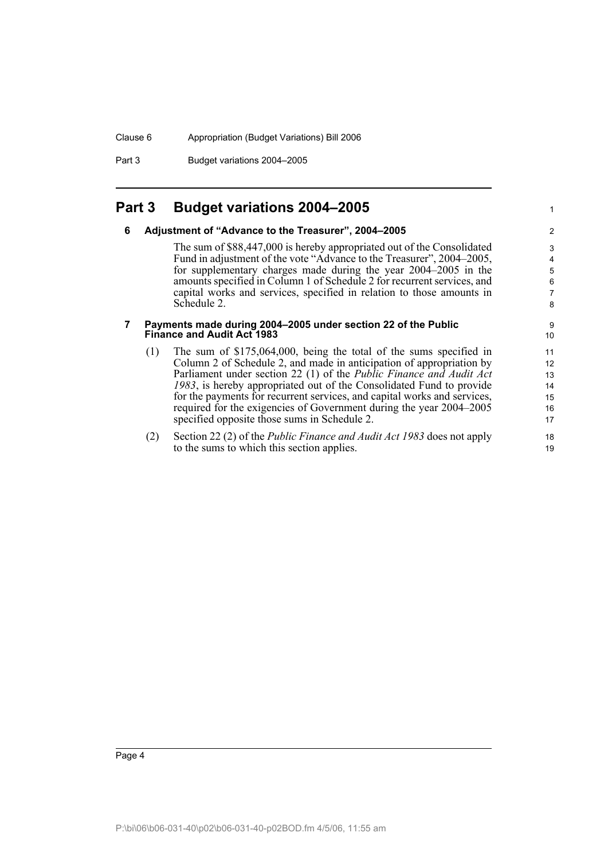Part 3 Budget variations 2004–2005

#### **Part 3 Budget variations 2004–2005**

#### **6 Adjustment of "Advance to the Treasurer", 2004–2005**

The sum of \$88,447,000 is hereby appropriated out of the Consolidated Fund in adjustment of the vote "Advance to the Treasurer", 2004–2005, for supplementary charges made during the year 2004–2005 in the amounts specified in Column 1 of Schedule 2 for recurrent services, and capital works and services, specified in relation to those amounts in Schedule 2.

1

#### **7 Payments made during 2004–2005 under section 22 of the Public Finance and Audit Act 1983**

- (1) The sum of \$175,064,000, being the total of the sums specified in Column 2 of Schedule 2, and made in anticipation of appropriation by Parliament under section 22 (1) of the *Public Finance and Audit Act 1983*, is hereby appropriated out of the Consolidated Fund to provide for the payments for recurrent services, and capital works and services, required for the exigencies of Government during the year 2004–2005 specified opposite those sums in Schedule 2.
- (2) Section 22 (2) of the *Public Finance and Audit Act 1983* does not apply to the sums to which this section applies.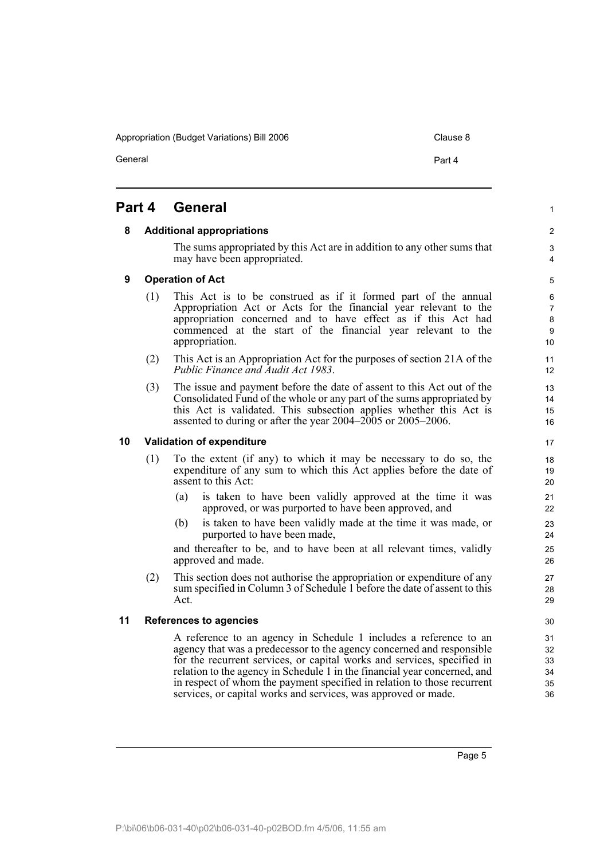Appropriation (Budget Variations) Bill 2006 Clause 8

General **Part 4** 

1

 $\mathfrak{p}$ 3 4

#### **Part 4 General**

#### **8 Additional appropriations**

The sums appropriated by this Act are in addition to any other sums that may have been appropriated.

#### **9 Operation of Act**

- (1) This Act is to be construed as if it formed part of the annual Appropriation Act or Acts for the financial year relevant to the appropriation concerned and to have effect as if this Act had commenced at the start of the financial year relevant to the appropriation.
- (2) This Act is an Appropriation Act for the purposes of section 21A of the *Public Finance and Audit Act 1983*.
- (3) The issue and payment before the date of assent to this Act out of the Consolidated Fund of the whole or any part of the sums appropriated by this Act is validated. This subsection applies whether this Act is assented to during or after the year 2004–2005 or 2005–2006.

#### **10 Validation of expenditure**

- (1) To the extent (if any) to which it may be necessary to do so, the expenditure of any sum to which this Act applies before the date of assent to this Act:
	- (a) is taken to have been validly approved at the time it was approved, or was purported to have been approved, and
	- (b) is taken to have been validly made at the time it was made, or purported to have been made,

and thereafter to be, and to have been at all relevant times, validly approved and made.

(2) This section does not authorise the appropriation or expenditure of any sum specified in Column 3 of Schedule 1 before the date of assent to this Act.

#### **11 References to agencies**

A reference to an agency in Schedule 1 includes a reference to an agency that was a predecessor to the agency concerned and responsible for the recurrent services, or capital works and services, specified in relation to the agency in Schedule 1 in the financial year concerned, and in respect of whom the payment specified in relation to those recurrent services, or capital works and services, was approved or made.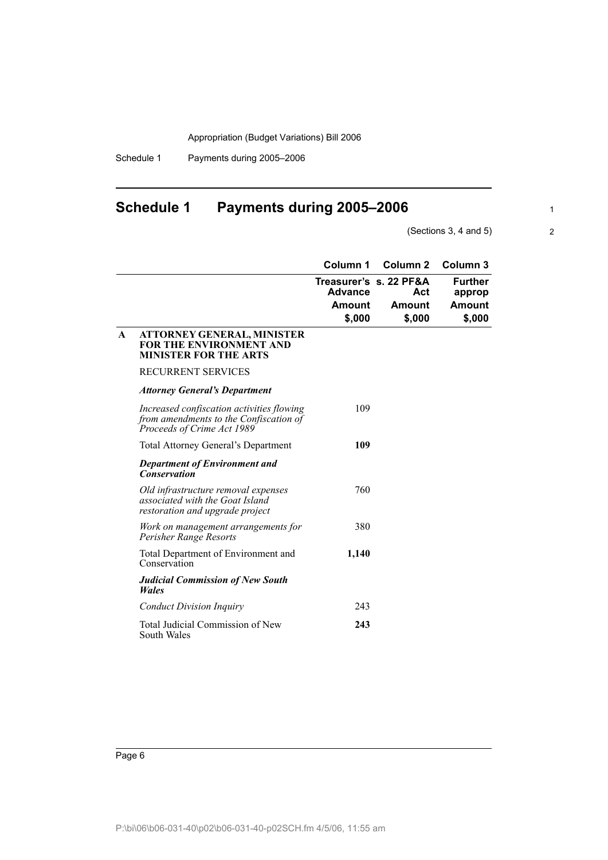Schedule 1 Payments during 2005–2006

# **Schedule 1 Payments during 2005–2006**

(Sections 3, 4 and 5)

1

2

|              |                                                                                                                   | Column 1                           | Column <sub>2</sub>                               | Column 3                                            |
|--------------|-------------------------------------------------------------------------------------------------------------------|------------------------------------|---------------------------------------------------|-----------------------------------------------------|
|              |                                                                                                                   | Advance<br><b>Amount</b><br>\$,000 | Treasurer's s. 22 PF&A<br>Act<br>Amount<br>\$,000 | <b>Further</b><br>approp<br><b>Amount</b><br>\$,000 |
| $\mathbf{A}$ | <b>ATTORNEY GENERAL, MINISTER</b><br><b>FOR THE ENVIRONMENT AND</b><br><b>MINISTER FOR THE ARTS</b>               |                                    |                                                   |                                                     |
|              | <b>RECURRENT SERVICES</b>                                                                                         |                                    |                                                   |                                                     |
|              | <b>Attorney General's Department</b>                                                                              |                                    |                                                   |                                                     |
|              | Increased confiscation activities flowing<br>from amendments to the Confiscation of<br>Proceeds of Crime Act 1989 | 109                                |                                                   |                                                     |
|              | <b>Total Attorney General's Department</b>                                                                        | 109                                |                                                   |                                                     |
|              | <b>Department of Environment and</b><br><b>Conservation</b>                                                       |                                    |                                                   |                                                     |
|              | Old infrastructure removal expenses<br>associated with the Goat Island<br>restoration and upgrade project         | 760                                |                                                   |                                                     |
|              | Work on management arrangements for<br>Perisher Range Resorts                                                     | 380                                |                                                   |                                                     |
|              | Total Department of Environment and<br>Conservation                                                               | 1,140                              |                                                   |                                                     |
|              | <b>Judicial Commission of New South</b><br><b>Wales</b>                                                           |                                    |                                                   |                                                     |
|              | <b>Conduct Division Inquiry</b>                                                                                   | 243                                |                                                   |                                                     |
|              | Total Judicial Commission of New<br>South Wales                                                                   | 243                                |                                                   |                                                     |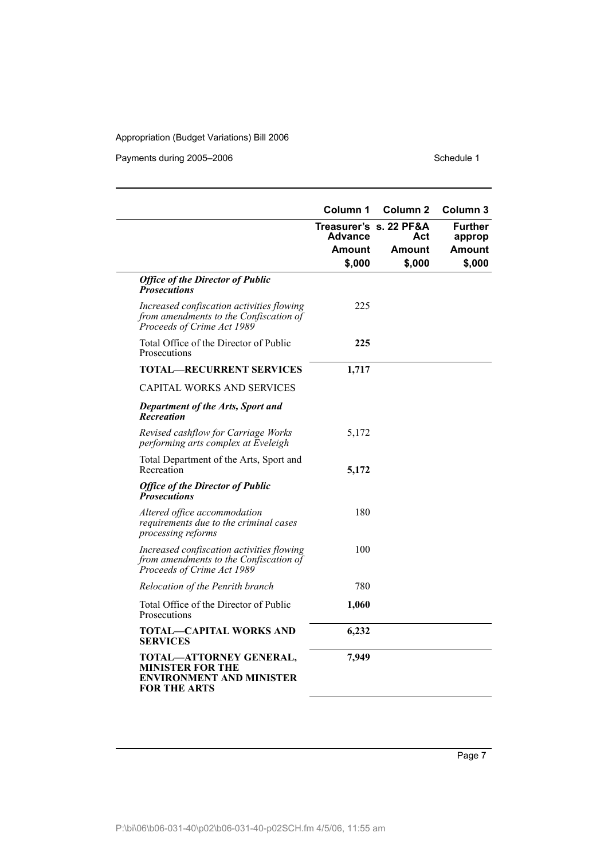Payments during 2005–2006 Schedule 1

|                                                                                                                   | Column 1                          | Column <sub>2</sub> | Column <sub>3</sub> |
|-------------------------------------------------------------------------------------------------------------------|-----------------------------------|---------------------|---------------------|
|                                                                                                                   | Treasurer's s. 22 PF&A<br>Advance | Act                 | Further<br>approp   |
|                                                                                                                   | Amount                            | Amount              | Amount              |
|                                                                                                                   | \$,000                            | \$,000              | \$,000              |
| <b>Office of the Director of Public</b><br><b>Prosecutions</b>                                                    |                                   |                     |                     |
| Increased confiscation activities flowing<br>from amendments to the Confiscation of<br>Proceeds of Crime Act 1989 | 225                               |                     |                     |
| Total Office of the Director of Public<br><b>Prosecutions</b>                                                     | 225                               |                     |                     |
| <b>TOTAL—RECURRENT SERVICES</b>                                                                                   | 1,717                             |                     |                     |
| <b>CAPITAL WORKS AND SERVICES</b>                                                                                 |                                   |                     |                     |
| Department of the Arts, Sport and<br><b>Recreation</b>                                                            |                                   |                     |                     |
| Revised cashflow for Carriage Works<br>performing arts complex at Eveleigh                                        | 5,172                             |                     |                     |
| Total Department of the Arts, Sport and<br>Recreation                                                             | 5,172                             |                     |                     |
| <b>Office of the Director of Public</b><br><b>Prosecutions</b>                                                    |                                   |                     |                     |
| Altered office accommodation<br>requirements due to the criminal cases<br>processing reforms                      | 180                               |                     |                     |
| Increased confiscation activities flowing<br>from amendments to the Confiscation of<br>Proceeds of Crime Act 1989 | 100                               |                     |                     |
| Relocation of the Penrith branch                                                                                  | 780                               |                     |                     |
| Total Office of the Director of Public<br>Prosecutions                                                            | 1,060                             |                     |                     |
| TOTAL—CAPITAL WORKS AND<br><b>SERVICES</b>                                                                        | 6,232                             |                     |                     |
| TOTAL—ATTORNEY GENERAL,<br>MINISTER FOR THE<br>ENVIRONMENT AND MINISTER<br>FOR THE ARTS                           | 7,949                             |                     |                     |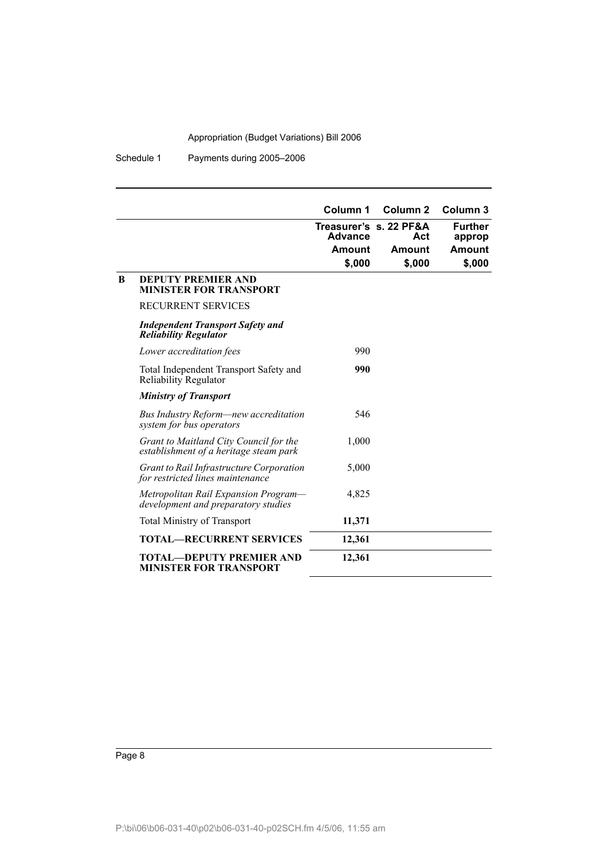Schedule 1 Payments during 2005–2006

|              |                                                                                  | Column 1                                                     | Column <sub>2</sub>     | Column <sub>3</sub>                          |
|--------------|----------------------------------------------------------------------------------|--------------------------------------------------------------|-------------------------|----------------------------------------------|
|              |                                                                                  | Treasurer's s. 22 PF&A<br><b>Advance</b><br>Amount<br>\$,000 | Act<br>Amount<br>\$,000 | <b>Further</b><br>approp<br>Amount<br>\$,000 |
| <sup>B</sup> | <b>DEPUTY PREMIER AND</b><br><b>MINISTER FOR TRANSPORT</b>                       |                                                              |                         |                                              |
|              | <b>RECURRENT SERVICES</b>                                                        |                                                              |                         |                                              |
|              | <b>Independent Transport Safety and</b><br><b>Reliability Regulator</b>          |                                                              |                         |                                              |
|              | Lower accreditation fees                                                         | 990                                                          |                         |                                              |
|              | Total Independent Transport Safety and<br>Reliability Regulator                  | 990                                                          |                         |                                              |
|              | <b>Ministry of Transport</b>                                                     |                                                              |                         |                                              |
|              | Bus Industry Reform-new accreditation<br>system for bus operators                | 546                                                          |                         |                                              |
|              | Grant to Maitland City Council for the<br>establishment of a heritage steam park | 1,000                                                        |                         |                                              |
|              | Grant to Rail Infrastructure Corporation<br>for restricted lines maintenance     | 5,000                                                        |                         |                                              |
|              | Metropolitan Rail Expansion Program-<br>development and preparatory studies      | 4,825                                                        |                         |                                              |
|              | <b>Total Ministry of Transport</b>                                               | 11,371                                                       |                         |                                              |
|              | <b>TOTAL—RECURRENT SERVICES</b>                                                  | 12,361                                                       |                         |                                              |
|              | TOTAL—DEPUTY PREMIER AND<br><b>MINISTER FOR TRANSPORT</b>                        | 12,361                                                       |                         |                                              |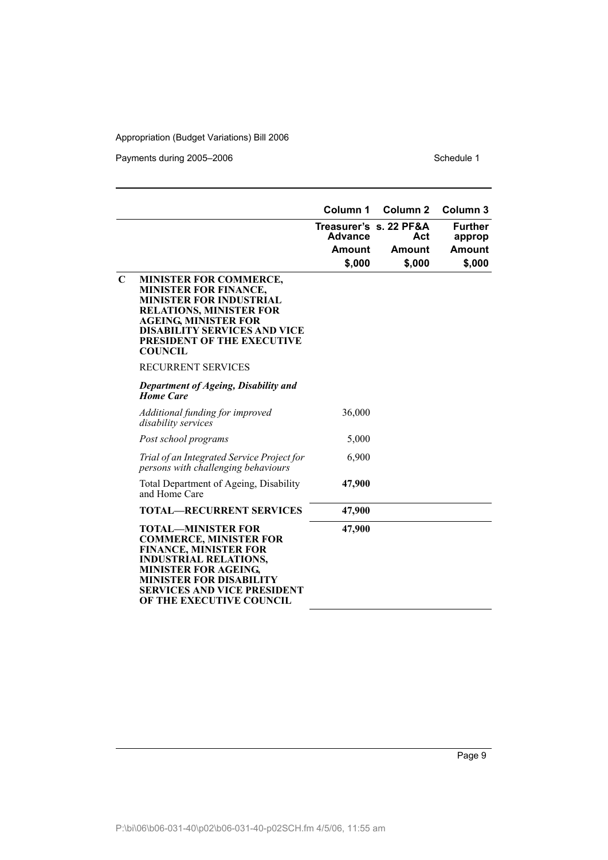Payments during 2005–2006 Schedule 1

|             |                                                                                                                                                                                                                                                                      | Column 1                    | Column <sub>2</sub>                               | Column 3                                            |
|-------------|----------------------------------------------------------------------------------------------------------------------------------------------------------------------------------------------------------------------------------------------------------------------|-----------------------------|---------------------------------------------------|-----------------------------------------------------|
|             |                                                                                                                                                                                                                                                                      | Advance<br>Amount<br>\$,000 | Treasurer's s. 22 PF&A<br>Act<br>Amount<br>\$,000 | <b>Further</b><br>approp<br><b>Amount</b><br>\$,000 |
| $\mathbf C$ | <b>MINISTER FOR COMMERCE,</b><br><b>MINISTER FOR FINANCE,</b><br><b>MINISTER FOR INDUSTRIAL</b><br><b>RELATIONS, MINISTER FOR</b><br><b>AGEING, MINISTER FOR</b><br><b>DISABILITY SERVICES AND VICE</b><br><b>PRESIDENT OF THE EXECUTIVE</b><br><b>COUNCIL</b>       |                             |                                                   |                                                     |
|             | <b>RECURRENT SERVICES</b>                                                                                                                                                                                                                                            |                             |                                                   |                                                     |
|             | Department of Ageing, Disability and<br><b>Home Care</b>                                                                                                                                                                                                             |                             |                                                   |                                                     |
|             | Additional funding for improved<br>disability services                                                                                                                                                                                                               | 36,000                      |                                                   |                                                     |
|             | Post school programs                                                                                                                                                                                                                                                 | 5,000                       |                                                   |                                                     |
|             | Trial of an Integrated Service Project for<br>persons with challenging behaviours                                                                                                                                                                                    | 6,900                       |                                                   |                                                     |
|             | Total Department of Ageing, Disability<br>and Home Care                                                                                                                                                                                                              | 47,900                      |                                                   |                                                     |
|             | <b>TOTAL-RECURRENT SERVICES</b>                                                                                                                                                                                                                                      | 47,900                      |                                                   |                                                     |
|             | <b>TOTAL—MINISTER FOR</b><br><b>COMMERCE, MINISTER FOR</b><br><b>FINANCE, MINISTER FOR</b><br><b>INDUSTRIAL RELATIONS,</b><br><b>MINISTER FOR AGEING,</b><br><b>MINISTER FOR DISABILITY</b><br><b>SERVICES AND VICE PRESIDENT</b><br><b>OF THE EXECUTIVE COUNCIL</b> | 47,900                      |                                                   |                                                     |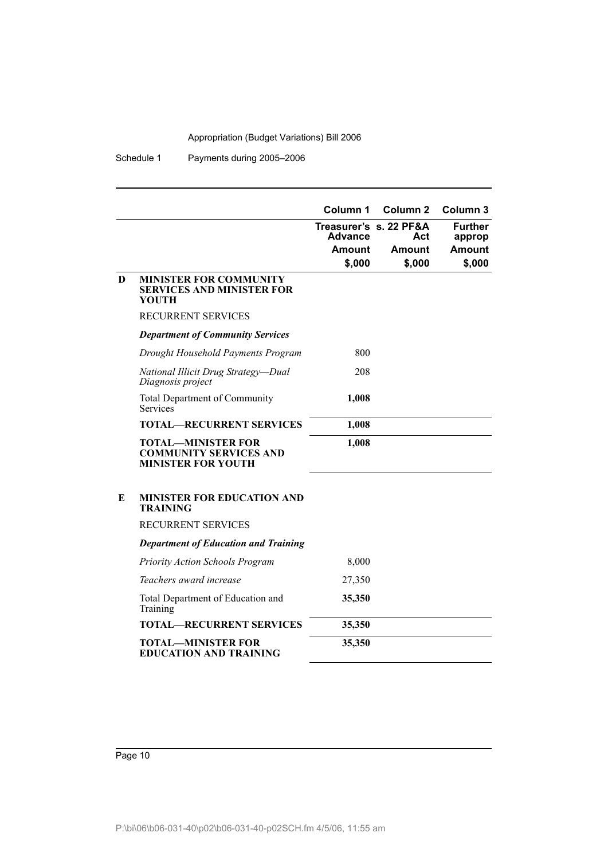Schedule 1 Payments during 2005–2006

|   |                                                                                         | Column 1       | Column <sub>2</sub>           | Column <sub>3</sub>      |
|---|-----------------------------------------------------------------------------------------|----------------|-------------------------------|--------------------------|
|   |                                                                                         | <b>Advance</b> | Treasurer's s. 22 PF&A<br>Act | <b>Further</b><br>approp |
|   |                                                                                         | <b>Amount</b>  | Amount                        | <b>Amount</b>            |
|   |                                                                                         | \$,000         | \$,000                        | \$,000                   |
| D | <b>MINISTER FOR COMMUNITY</b><br><b>SERVICES AND MINISTER FOR</b><br>YOUTH              |                |                               |                          |
|   | <b>RECURRENT SERVICES</b>                                                               |                |                               |                          |
|   | <b>Department of Community Services</b>                                                 |                |                               |                          |
|   | Drought Household Payments Program                                                      | 800            |                               |                          |
|   | National Illicit Drug Strategy-Dual<br>Diagnosis project                                | 208            |                               |                          |
|   | <b>Total Department of Community</b><br><b>Services</b>                                 | 1,008          |                               |                          |
|   | <b>TOTAL-RECURRENT SERVICES</b>                                                         | 1,008          |                               |                          |
|   | <b>TOTAL-MINISTER FOR</b><br><b>COMMUNITY SERVICES AND</b><br><b>MINISTER FOR YOUTH</b> | 1,008          |                               |                          |
| E | <b>MINISTER FOR EDUCATION AND</b><br><b>TRAINING</b>                                    |                |                               |                          |
|   | <b>RECURRENT SERVICES</b>                                                               |                |                               |                          |
|   | <b>Department of Education and Training</b>                                             |                |                               |                          |
|   | <b>Priority Action Schools Program</b>                                                  | 8,000          |                               |                          |
|   | Teachers award increase                                                                 | 27,350         |                               |                          |
|   | Total Department of Education and<br>Training                                           | 35,350         |                               |                          |
|   | <b>TOTAL—RECURRENT SERVICES</b>                                                         | 35,350         |                               |                          |
|   | <b>TOTAL-MINISTER FOR</b><br><b>EDUCATION AND TRAINING</b>                              | 35,350         |                               |                          |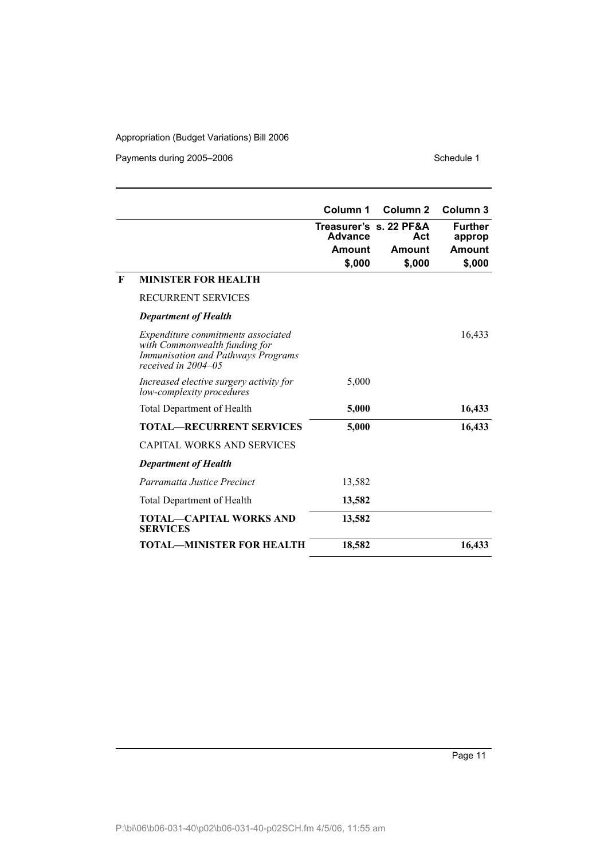Payments during 2005–2006 Schedule 1

|   |                                                                                                                                  | Column 1                                  | Column <sub>2</sub>                               | Column <sub>3</sub>                                 |
|---|----------------------------------------------------------------------------------------------------------------------------------|-------------------------------------------|---------------------------------------------------|-----------------------------------------------------|
|   |                                                                                                                                  | <b>Advance</b><br><b>Amount</b><br>\$,000 | Treasurer's s. 22 PF&A<br>Act<br>Amount<br>\$,000 | <b>Further</b><br>approp<br><b>Amount</b><br>\$,000 |
| F | <b>MINISTER FOR HEALTH</b>                                                                                                       |                                           |                                                   |                                                     |
|   | <b>RECURRENT SERVICES</b>                                                                                                        |                                           |                                                   |                                                     |
|   | <b>Department of Health</b>                                                                                                      |                                           |                                                   |                                                     |
|   | Expenditure commitments associated<br>with Commonwealth funding for<br>Immunisation and Pathways Programs<br>received in 2004–05 |                                           |                                                   | 16,433                                              |
|   | Increased elective surgery activity for<br>low-complexity procedures                                                             | 5,000                                     |                                                   |                                                     |
|   | <b>Total Department of Health</b>                                                                                                | 5,000                                     |                                                   | 16,433                                              |
|   | <b>TOTAL—RECURRENT SERVICES</b>                                                                                                  | 5,000                                     |                                                   | 16,433                                              |
|   | <b>CAPITAL WORKS AND SERVICES</b>                                                                                                |                                           |                                                   |                                                     |
|   | <b>Department of Health</b>                                                                                                      |                                           |                                                   |                                                     |
|   | Parramatta Justice Precinct                                                                                                      | 13,582                                    |                                                   |                                                     |
|   | <b>Total Department of Health</b>                                                                                                | 13,582                                    |                                                   |                                                     |
|   | <b>TOTAL—CAPITAL WORKS AND</b><br><b>SERVICES</b>                                                                                | 13,582                                    |                                                   |                                                     |
|   | <b>TOTAL—MINISTER FOR HEALTH</b>                                                                                                 | 18,582                                    |                                                   | 16,433                                              |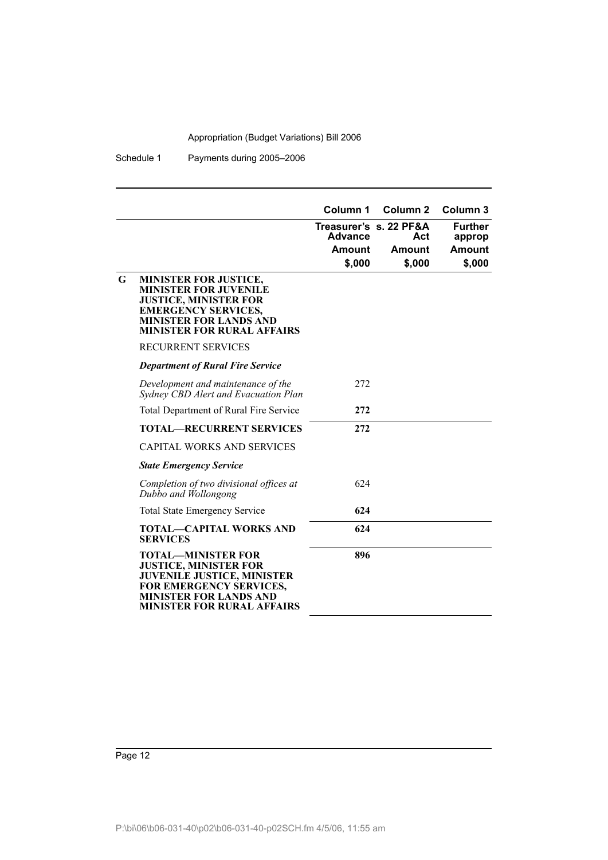Schedule 1 Payments during 2005–2006

|   |                                                                                                                                                                                                  | Column 1       | Column <sub>2</sub>           | Column <sub>3</sub>     |
|---|--------------------------------------------------------------------------------------------------------------------------------------------------------------------------------------------------|----------------|-------------------------------|-------------------------|
|   |                                                                                                                                                                                                  | <b>Advance</b> | Treasurer's s. 22 PF&A<br>Act | <b>Further</b>          |
|   |                                                                                                                                                                                                  | <b>Amount</b>  | Amount                        | approp<br><b>Amount</b> |
|   |                                                                                                                                                                                                  | \$,000         | \$,000                        | \$,000                  |
| G | <b>MINISTER FOR JUSTICE,</b><br><b>MINISTER FOR JUVENILE</b><br><b>JUSTICE, MINISTER FOR</b><br><b>EMERGENCY SERVICES,</b><br><b>MINISTER FOR LANDS AND</b><br><b>MINISTER FOR RURAL AFFAIRS</b> |                |                               |                         |
|   | <b>RECURRENT SERVICES</b>                                                                                                                                                                        |                |                               |                         |
|   | <b>Department of Rural Fire Service</b>                                                                                                                                                          |                |                               |                         |
|   | Development and maintenance of the<br>Sydney CBD Alert and Evacuation Plan                                                                                                                       | 272            |                               |                         |
|   | Total Department of Rural Fire Service                                                                                                                                                           | 272            |                               |                         |
|   | <b>TOTAL—RECURRENT SERVICES</b>                                                                                                                                                                  | 272            |                               |                         |
|   | <b>CAPITAL WORKS AND SERVICES</b>                                                                                                                                                                |                |                               |                         |
|   | <b>State Emergency Service</b>                                                                                                                                                                   |                |                               |                         |
|   | Completion of two divisional offices at<br>Dubbo and Wollongong                                                                                                                                  | 624            |                               |                         |
|   | <b>Total State Emergency Service</b>                                                                                                                                                             | 624            |                               |                         |
|   | <b>TOTAL—CAPITAL WORKS AND</b><br><b>SERVICES</b>                                                                                                                                                | 624            |                               |                         |
|   | <b>TOTAL-MINISTER FOR</b><br><b>JUSTICE, MINISTER FOR</b><br><b>JUVENILE JUSTICE, MINISTER</b><br>FOR EMERGENCY SERVICES,<br><b>MINISTER FOR LANDS AND</b><br><b>MINISTER FOR RURAL AFFAIRS</b>  | 896            |                               |                         |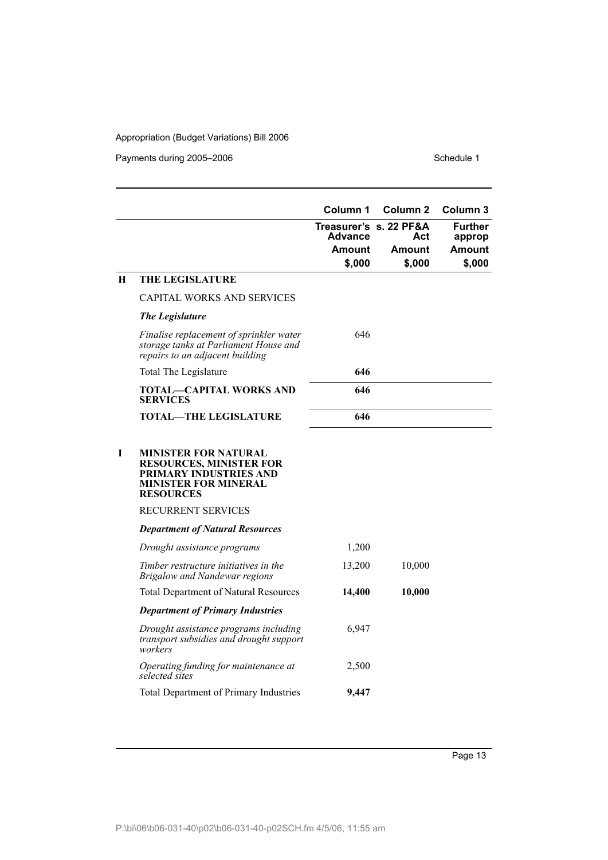Payments during 2005–2006 Schedule 1

|   |                                                                                                                              | Column 1       | Column 2                      | Column 3          |
|---|------------------------------------------------------------------------------------------------------------------------------|----------------|-------------------------------|-------------------|
|   |                                                                                                                              | <b>Advance</b> | Treasurer's s. 22 PF&A<br>Act | Further<br>approp |
|   |                                                                                                                              | <b>Amount</b>  | Amount                        | Amount            |
|   |                                                                                                                              | \$,000         | \$,000                        | \$,000            |
| H | <b>THE LEGISLATURE</b>                                                                                                       |                |                               |                   |
|   | <b>CAPITAL WORKS AND SERVICES</b>                                                                                            |                |                               |                   |
|   | <b>The Legislature</b>                                                                                                       |                |                               |                   |
|   | Finalise replacement of sprinkler water<br>storage tanks at Parliament House and<br>repairs to an adjacent building          | 646            |                               |                   |
|   | Total The Legislature                                                                                                        | 646            |                               |                   |
|   | TOTAL—CAPITAL WORKS AND<br><b>SERVICES</b>                                                                                   | 646            |                               |                   |
|   | <b>TOTAL-THE LEGISLATURE</b>                                                                                                 | 646            |                               |                   |
| I | MINISTER FOR NATURAL<br><b>RESOURCES, MINISTER FOR</b><br>PRIMARY INDUSTRIES AND<br>MINISTER FOR MINERAL<br><b>RESOURCES</b> |                |                               |                   |
|   | <b>RECURRENT SERVICES</b>                                                                                                    |                |                               |                   |
|   | <b>Department of Natural Resources</b>                                                                                       |                |                               |                   |
|   | Drought assistance programs                                                                                                  | 1,200          |                               |                   |
|   | Timber restructure initiatives in the<br>Brigalow and Nandewar regions                                                       | 13,200         | 10,000                        |                   |
|   | <b>Total Department of Natural Resources</b>                                                                                 | 14,400         | 10,000                        |                   |
|   | <b>Department of Primary Industries</b>                                                                                      |                |                               |                   |
|   | Drought assistance programs including<br>transport subsidies and drought support<br>workers                                  | 6,947          |                               |                   |
|   | Operating funding for maintenance at<br>selected sites                                                                       | 2,500          |                               |                   |
|   | <b>Total Department of Primary Industries</b>                                                                                | 9,447          |                               |                   |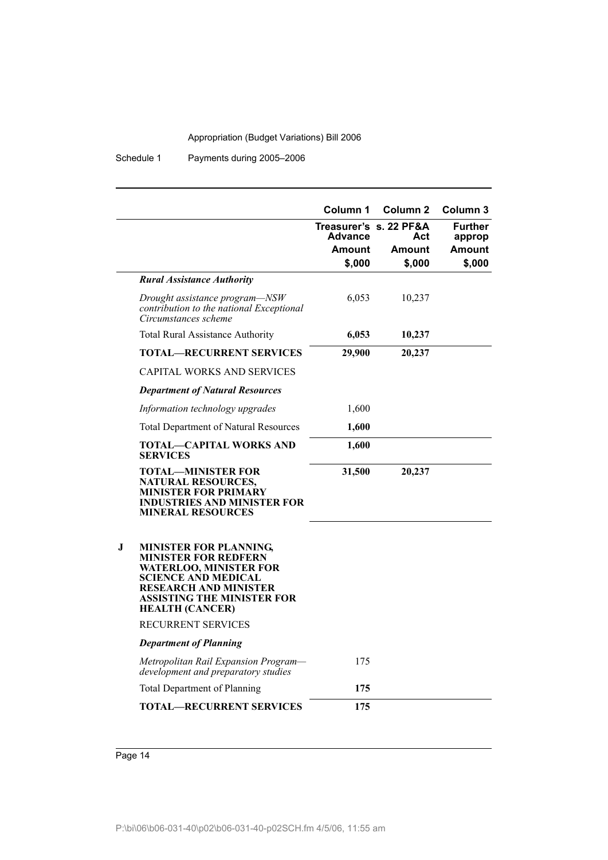Schedule 1 Payments during 2005–2006

|   |                                                                                                                                                                                                       | Column 1       | Column <sub>2</sub>           | Column 3                 |
|---|-------------------------------------------------------------------------------------------------------------------------------------------------------------------------------------------------------|----------------|-------------------------------|--------------------------|
|   |                                                                                                                                                                                                       | <b>Advance</b> | Treasurer's s. 22 PF&A<br>Act | <b>Further</b><br>approp |
|   |                                                                                                                                                                                                       | Amount         | Amount                        | <b>Amount</b>            |
|   |                                                                                                                                                                                                       | \$,000         | \$,000                        | \$,000                   |
|   | <b>Rural Assistance Authority</b>                                                                                                                                                                     |                |                               |                          |
|   | Drought assistance program—NSW<br>contribution to the national Exceptional<br>Circumstances scheme                                                                                                    | 6,053          | 10,237                        |                          |
|   | <b>Total Rural Assistance Authority</b>                                                                                                                                                               | 6,053          | 10,237                        |                          |
|   | <b>TOTAL—RECURRENT SERVICES</b>                                                                                                                                                                       | 29,900         | 20,237                        |                          |
|   | <b>CAPITAL WORKS AND SERVICES</b>                                                                                                                                                                     |                |                               |                          |
|   | <b>Department of Natural Resources</b>                                                                                                                                                                |                |                               |                          |
|   | Information technology upgrades                                                                                                                                                                       | 1,600          |                               |                          |
|   | <b>Total Department of Natural Resources</b>                                                                                                                                                          | 1,600          |                               |                          |
|   | TOTAL—CAPITAL WORKS AND<br><b>SERVICES</b>                                                                                                                                                            | 1,600          |                               |                          |
|   | <b>TOTAL—MINISTER FOR</b><br><b>NATURAL RESOURCES,</b><br>MINISTER FOR PRIMARY<br><b>INDUSTRIES AND MINISTER FOR</b><br><b>MINERAL RESOURCES</b>                                                      | 31,500         | 20,237                        |                          |
| J | MINISTER FOR PLANNING,<br>MINISTER FOR REDFERN<br><b>WATERLOO, MINISTER FOR</b><br><b>SCIENCE AND MEDICAL</b><br><b>RESEARCH AND MINISTER</b><br>ASSISTING THE MINISTER FOR<br><b>HEALTH (CANCER)</b> |                |                               |                          |
|   | <b>RECURRENT SERVICES</b>                                                                                                                                                                             |                |                               |                          |
|   | <b>Department of Planning</b>                                                                                                                                                                         |                |                               |                          |
|   | Metropolitan Rail Expansion Program-<br>development and preparatory studies                                                                                                                           | 175            |                               |                          |
|   | Total Department of Planning                                                                                                                                                                          | 175            |                               |                          |
|   | <b>TOTAL—RECURRENT SERVICES</b>                                                                                                                                                                       | 175            |                               |                          |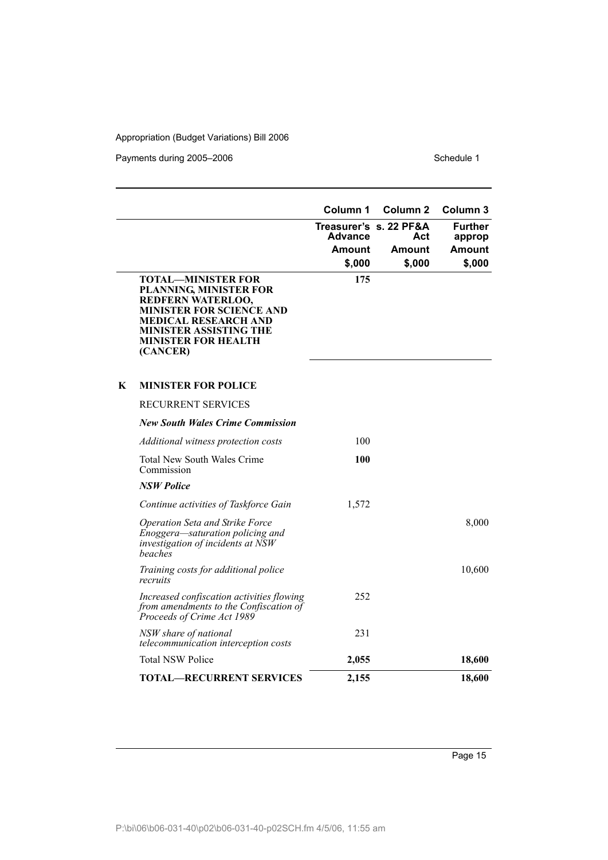Payments during 2005–2006 Schedule 1

|   |                                                                                                                                                                                                                | Column 1                          | <b>Column 2</b> | Column 3                 |
|---|----------------------------------------------------------------------------------------------------------------------------------------------------------------------------------------------------------------|-----------------------------------|-----------------|--------------------------|
|   |                                                                                                                                                                                                                | Treasurer's s. 22 PF&A<br>Advance | Act             | <b>Further</b><br>approp |
|   |                                                                                                                                                                                                                | Amount                            | Amount          | <b>Amount</b>            |
|   |                                                                                                                                                                                                                | \$,000                            | \$,000          | \$,000                   |
|   | <b>TOTAL-MINISTER FOR</b><br>PLANNING, MINISTER FOR<br>REDFERN WATERLOO,<br><b>MINISTER FOR SCIENCE AND</b><br><b>MEDICAL RESEARCH AND</b><br>MINISTER ASSISTING THE<br><b>MINISTER FOR HEALTH</b><br>(CANCER) | 175                               |                 |                          |
| K | <b>MINISTER FOR POLICE</b>                                                                                                                                                                                     |                                   |                 |                          |
|   | <b>RECURRENT SERVICES</b>                                                                                                                                                                                      |                                   |                 |                          |
|   | <b>New South Wales Crime Commission</b>                                                                                                                                                                        |                                   |                 |                          |
|   | Additional witness protection costs                                                                                                                                                                            | 100                               |                 |                          |
|   | <b>Total New South Wales Crime</b><br>Commission                                                                                                                                                               | 100                               |                 |                          |
|   | <b>NSW Police</b>                                                                                                                                                                                              |                                   |                 |                          |
|   | Continue activities of Taskforce Gain                                                                                                                                                                          | 1,572                             |                 |                          |
|   | Operation Seta and Strike Force<br>Enoggera-saturation policing and<br>investigation of incidents at NSW<br>beaches                                                                                            |                                   |                 | 8,000                    |
|   | Training costs for additional police<br>recruits                                                                                                                                                               |                                   |                 | 10,600                   |
|   | Increased confiscation activities flowing<br>from amendments to the Confiscation of<br>Proceeds of Crime Act 1989                                                                                              | 252                               |                 |                          |
|   | NSW share of national<br>telecommunication interception costs                                                                                                                                                  | 231                               |                 |                          |
|   | <b>Total NSW Police</b>                                                                                                                                                                                        | 2,055                             |                 | 18,600                   |
|   | <b>TOTAL-RECURRENT SERVICES</b>                                                                                                                                                                                | 2,155                             |                 | 18,600                   |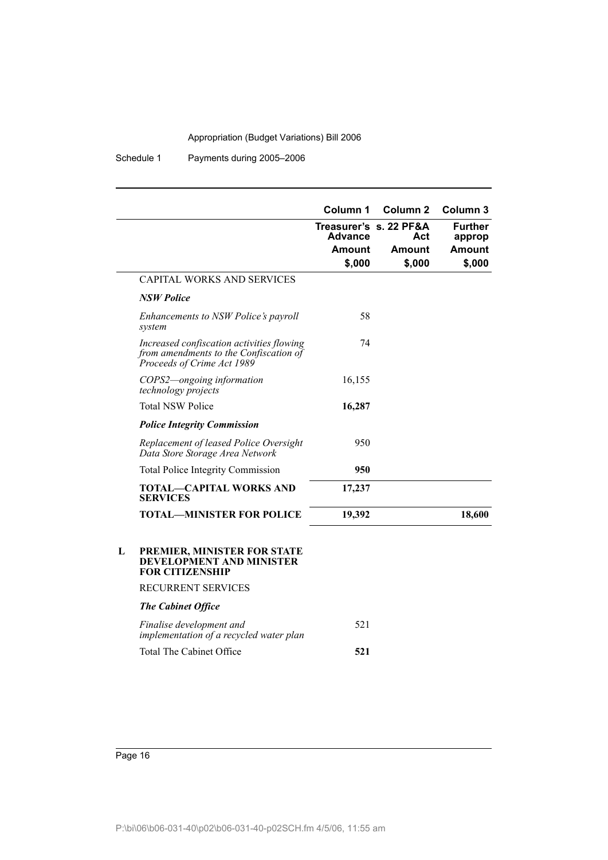Schedule 1 Payments during 2005–2006

|                                                                                                                   | Column 1 | Column <sub>2</sub>           | Column <sub>3</sub>      |
|-------------------------------------------------------------------------------------------------------------------|----------|-------------------------------|--------------------------|
|                                                                                                                   | Advance  | Treasurer's s. 22 PF&A<br>Act | <b>Further</b><br>approp |
|                                                                                                                   | Amount   | Amount                        | <b>Amount</b>            |
|                                                                                                                   | \$,000   | \$,000                        | \$,000                   |
| <b>CAPITAL WORKS AND SERVICES</b>                                                                                 |          |                               |                          |
| <b>NSW Police</b>                                                                                                 |          |                               |                          |
| Enhancements to NSW Police's payroll<br>system                                                                    | 58       |                               |                          |
| Increased confiscation activities flowing<br>from amendments to the Confiscation of<br>Proceeds of Crime Act 1989 | 74       |                               |                          |
| COPS2-ongoing information<br>technology projects                                                                  | 16,155   |                               |                          |
| <b>Total NSW Police</b>                                                                                           | 16,287   |                               |                          |
| <b>Police Integrity Commission</b>                                                                                |          |                               |                          |
| Replacement of leased Police Oversight<br>Data Store Storage Area Network                                         | 950      |                               |                          |
| <b>Total Police Integrity Commission</b>                                                                          | 950      |                               |                          |
| <b>TOTAL—CAPITAL WORKS AND</b><br><b>SERVICES</b>                                                                 | 17,237   |                               |                          |
| TOTAL—MINISTER FOR POLICE                                                                                         | 19,392   |                               | 18,600                   |

#### **L PREMIER, MINISTER FOR STATE DEVELOPMENT AND MINISTER FOR CITIZENSHIP**

RECURRENT SERVICES

#### *The Cabinet Office*

| Finalise development and<br>implementation of a recycled water plan | 521 |
|---------------------------------------------------------------------|-----|
| Total The Cabinet Office                                            | 521 |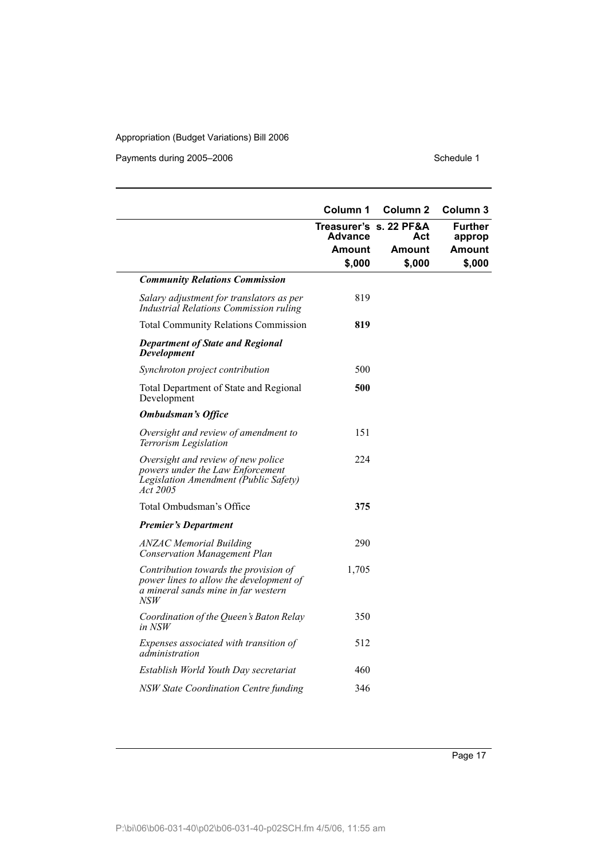Payments during 2005–2006 Schedule 1

|                                                                                                                                | Column 1                 | <b>Column 2</b>                                | Column 3                           |
|--------------------------------------------------------------------------------------------------------------------------------|--------------------------|------------------------------------------------|------------------------------------|
|                                                                                                                                | Advance<br><b>Amount</b> | Treasurer's s. 22 PF&A<br>Act<br><b>Amount</b> | <b>Further</b><br>approp<br>Amount |
|                                                                                                                                | \$,000                   | \$,000                                         | \$,000                             |
| <b>Community Relations Commission</b>                                                                                          |                          |                                                |                                    |
| Salary adjustment for translators as per<br><b>Industrial Relations Commission ruling</b>                                      | 819                      |                                                |                                    |
| <b>Total Community Relations Commission</b>                                                                                    | 819                      |                                                |                                    |
| <b>Department of State and Regional</b><br><b>Development</b>                                                                  |                          |                                                |                                    |
| Synchroton project contribution                                                                                                | 500                      |                                                |                                    |
| Total Department of State and Regional<br>Development                                                                          | 500                      |                                                |                                    |
| <b>Ombudsman's Office</b>                                                                                                      |                          |                                                |                                    |
| Oversight and review of amendment to<br>Terrorism Legislation                                                                  | 151                      |                                                |                                    |
| Oversight and review of new police<br>powers under the Law Enforcement<br>Legislation Amendment (Public Safety)<br>Act 2005    | 224                      |                                                |                                    |
| Total Ombudsman's Office                                                                                                       | 375                      |                                                |                                    |
| <b>Premier's Department</b>                                                                                                    |                          |                                                |                                    |
| <b>ANZAC Memorial Building</b><br><b>Conservation Management Plan</b>                                                          | 290                      |                                                |                                    |
| Contribution towards the provision of<br>power lines to allow the development of<br>a mineral sands mine in far western<br>NSW | 1,705                    |                                                |                                    |
| Coordination of the Queen's Baton Relay<br>in NSW                                                                              | 350                      |                                                |                                    |
| Expenses associated with transition of<br>administration                                                                       | 512                      |                                                |                                    |
| Establish World Youth Day secretariat                                                                                          | 460                      |                                                |                                    |
| NSW State Coordination Centre funding                                                                                          | 346                      |                                                |                                    |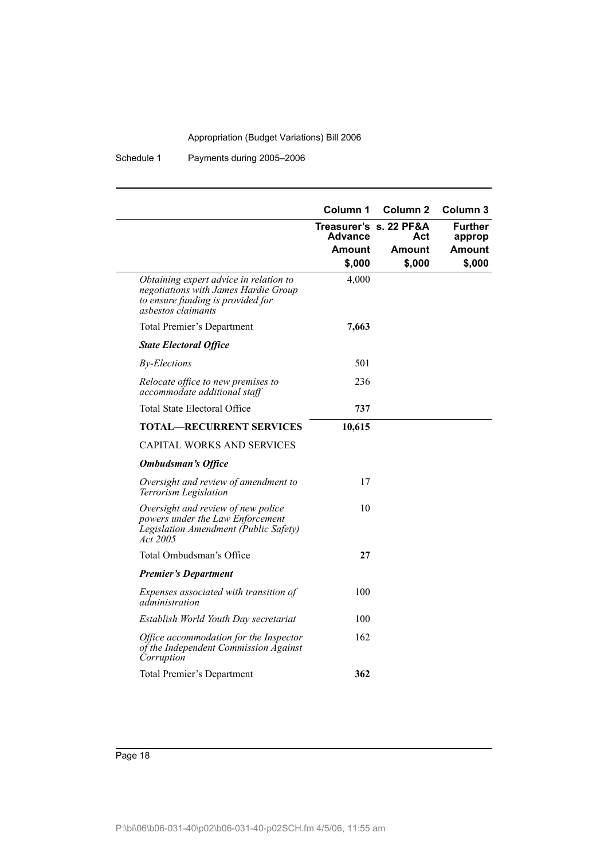#### Schedule 1 Payments during 2005–2006

|                                                                                                                                           | Column 1 | Column <sub>2</sub>           | Column 3                 |
|-------------------------------------------------------------------------------------------------------------------------------------------|----------|-------------------------------|--------------------------|
|                                                                                                                                           | Advance  | Treasurer's s. 22 PF&A<br>Act | <b>Further</b><br>approp |
|                                                                                                                                           | Amount   | Amount                        | <b>Amount</b>            |
|                                                                                                                                           | \$,000   | \$,000                        | \$,000                   |
| Obtaining expert advice in relation to<br>negotiations with James Hardie Group<br>to ensure funding is provided for<br>asbestos claimants | 4,000    |                               |                          |
| Total Premier's Department                                                                                                                | 7,663    |                               |                          |
| <b>State Electoral Office</b>                                                                                                             |          |                               |                          |
| <b>By-Elections</b>                                                                                                                       | 501      |                               |                          |
| Relocate office to new premises to<br>accommodate additional staff                                                                        | 236      |                               |                          |
| <b>Total State Electoral Office</b>                                                                                                       | 737      |                               |                          |
| <b>TOTAL-RECURRENT SERVICES</b>                                                                                                           | 10,615   |                               |                          |
| <b>CAPITAL WORKS AND SERVICES</b>                                                                                                         |          |                               |                          |
| <b>Ombudsman's Office</b>                                                                                                                 |          |                               |                          |
| Oversight and review of amendment to<br>Terrorism Legislation                                                                             | 17       |                               |                          |
| Oversight and review of new police<br>powers under the Law Enforcement<br>Legislation Amendment (Public Safety)<br>Act 2005               | 10       |                               |                          |
| Total Ombudsman's Office                                                                                                                  | 27       |                               |                          |
| <b>Premier's Department</b>                                                                                                               |          |                               |                          |
| Expenses associated with transition of<br>administration                                                                                  | 100      |                               |                          |
| Establish World Youth Day secretariat                                                                                                     | 100      |                               |                          |
| Office accommodation for the Inspector<br>of the Independent Commission Against<br>Corruption                                             | 162      |                               |                          |
| Total Premier's Department                                                                                                                | 362      |                               |                          |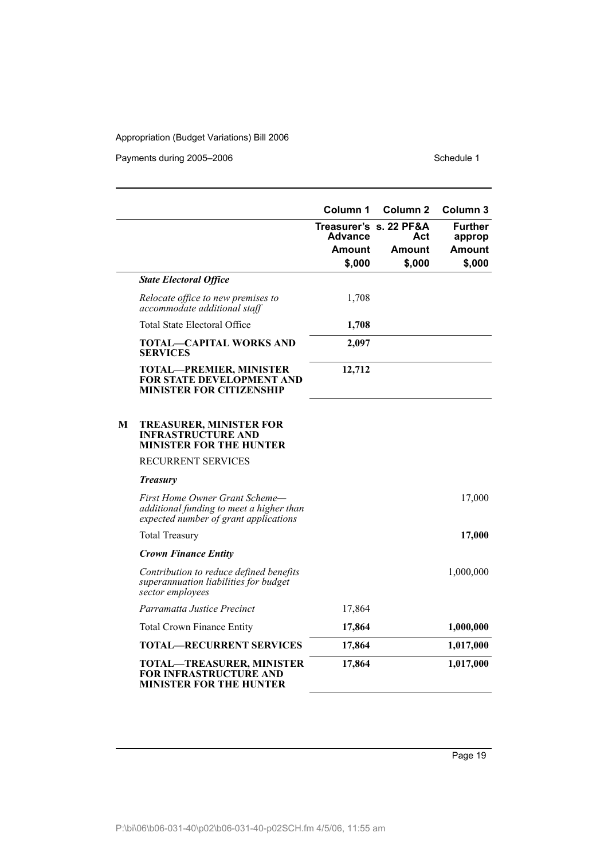Payments during 2005–2006 Schedule 1

|   |                                                                                                                     | Column 1 | Column <sub>2</sub>           | Column <sub>3</sub> |
|---|---------------------------------------------------------------------------------------------------------------------|----------|-------------------------------|---------------------|
|   |                                                                                                                     | Advance  | Treasurer's s. 22 PF&A<br>Act | Further<br>approp   |
|   |                                                                                                                     | Amount   | Amount                        | <b>Amount</b>       |
|   |                                                                                                                     | \$,000   | \$,000                        | \$,000              |
|   | <b>State Electoral Office</b>                                                                                       |          |                               |                     |
|   | Relocate office to new premises to<br>accommodate additional staff                                                  | 1,708    |                               |                     |
|   | Total State Electoral Office                                                                                        | 1,708    |                               |                     |
|   | <b>TOTAL-CAPITAL WORKS AND</b><br><b>SERVICES</b>                                                                   | 2,097    |                               |                     |
|   | <b>TOTAL-PREMIER, MINISTER</b><br>FOR STATE DEVELOPMENT AND<br><b>MINISTER FOR CITIZENSHIP</b>                      | 12,712   |                               |                     |
| М | <b>TREASURER, MINISTER FOR</b><br><b>INFRASTRUCTURE AND</b><br><b>MINISTER FOR THE HUNTER</b>                       |          |                               |                     |
|   | <b>RECURRENT SERVICES</b>                                                                                           |          |                               |                     |
|   | <b>Treasury</b>                                                                                                     |          |                               |                     |
|   | First Home Owner Grant Scheme-<br>additional funding to meet a higher than<br>expected number of grant applications |          |                               | 17,000              |
|   | <b>Total Treasury</b>                                                                                               |          |                               | 17,000              |
|   | <b>Crown Finance Entity</b>                                                                                         |          |                               |                     |
|   | Contribution to reduce defined benefits<br>superannuation liabilities for budget<br>sector employees                |          |                               | 1,000,000           |
|   | Parramatta Justice Precinct                                                                                         | 17,864   |                               |                     |
|   | <b>Total Crown Finance Entity</b>                                                                                   | 17,864   |                               | 1,000,000           |
|   | <b>TOTAL-RECURRENT SERVICES</b>                                                                                     | 17,864   |                               | 1,017,000           |
|   | <b>TOTAL-TREASURER, MINISTER</b><br><b>FOR INFRASTRUCTURE AND</b><br>MINISTER FOR THE HUNTER                        | 17,864   |                               | 1,017,000           |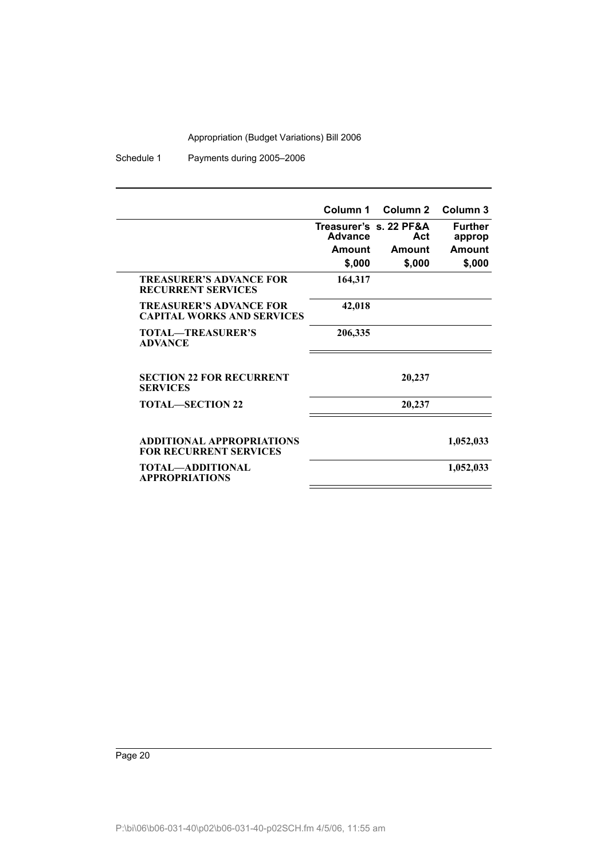Schedule 1 Payments during 2005–2006

|                                                                     | Column 1                          | Column <sub>2</sub> | Column 3                 |
|---------------------------------------------------------------------|-----------------------------------|---------------------|--------------------------|
|                                                                     | Treasurer's s. 22 PF&A<br>Advance | Act                 | <b>Further</b><br>approp |
|                                                                     | Amount                            | Amount              | Amount                   |
|                                                                     | \$,000                            | \$,000              | \$,000                   |
| TREASURER'S ADVANCE FOR<br><b>RECURRENT SERVICES</b>                | 164,317                           |                     |                          |
| <b>TREASURER'S ADVANCE FOR</b><br><b>CAPITAL WORKS AND SERVICES</b> | 42,018                            |                     |                          |
| <b>TOTAL—TREASURER'S</b><br><b>ADVANCE</b>                          | 206,335                           |                     |                          |
| <b>SECTION 22 FOR RECURRENT</b><br><b>SERVICES</b>                  |                                   | 20,237              |                          |
| <b>TOTAL—SECTION 22</b>                                             |                                   | 20,237              |                          |
| ADDITIONAL APPROPRIATIONS<br><b>FOR RECURRENT SERVICES</b>          |                                   |                     | 1,052,033                |
| <b>TOTAL-ADDITIONAL</b><br><b>APPROPRIATIONS</b>                    |                                   |                     | 1,052,033                |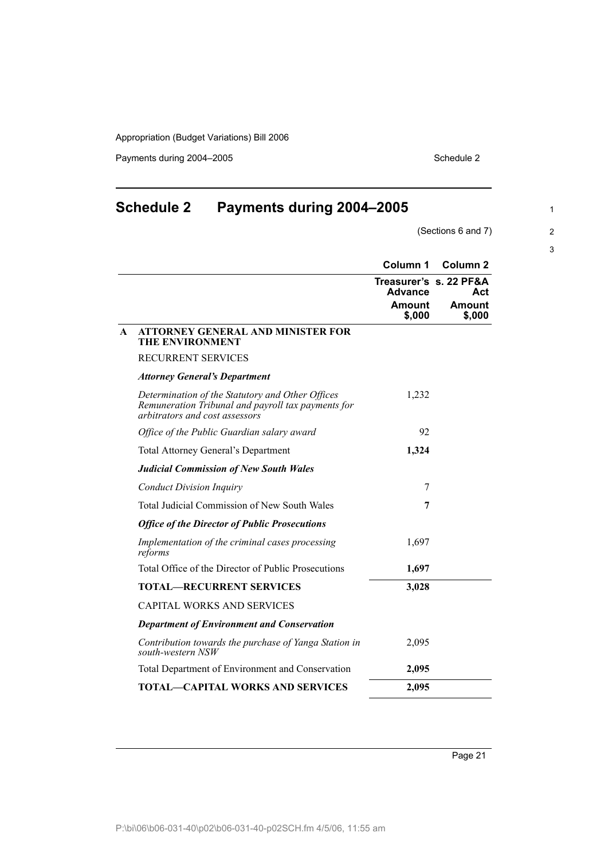Payments during 2004–2005 Schedule 2

 $\overline{\phantom{a}}$ 

# **Schedule 2 Payments during 2004–2005**

(Sections 6 and 7)

2 3

1

|   |                                                                                                                                          | Column 1                                 | Column <sub>2</sub>     |
|---|------------------------------------------------------------------------------------------------------------------------------------------|------------------------------------------|-------------------------|
|   |                                                                                                                                          | Treasurer's s. 22 PF&A<br><b>Advance</b> | Act                     |
|   |                                                                                                                                          | Amount<br>\$,000                         | <b>Amount</b><br>\$,000 |
| A | <b>ATTORNEY GENERAL AND MINISTER FOR</b><br><b>THE ENVIRONMENT</b>                                                                       |                                          |                         |
|   | RECURRENT SERVICES                                                                                                                       |                                          |                         |
|   | <b>Attorney General's Department</b>                                                                                                     |                                          |                         |
|   | Determination of the Statutory and Other Offices<br>Remuneration Tribunal and payroll tax payments for<br>arbitrators and cost assessors | 1,232                                    |                         |
|   | Office of the Public Guardian salary award                                                                                               | 92                                       |                         |
|   | <b>Total Attorney General's Department</b>                                                                                               | 1,324                                    |                         |
|   | <b>Judicial Commission of New South Wales</b>                                                                                            |                                          |                         |
|   | <b>Conduct Division Inquiry</b>                                                                                                          | 7                                        |                         |
|   | Total Judicial Commission of New South Wales                                                                                             | 7                                        |                         |
|   | <b>Office of the Director of Public Prosecutions</b>                                                                                     |                                          |                         |
|   | Implementation of the criminal cases processing<br>reforms                                                                               | 1,697                                    |                         |
|   | Total Office of the Director of Public Prosecutions                                                                                      | 1,697                                    |                         |
|   | <b>TOTAL-RECURRENT SERVICES</b>                                                                                                          | 3,028                                    |                         |
|   | <b>CAPITAL WORKS AND SERVICES</b>                                                                                                        |                                          |                         |
|   | <b>Department of Environment and Conservation</b>                                                                                        |                                          |                         |
|   | Contribution towards the purchase of Yanga Station in<br>south-western NSW                                                               | 2,095                                    |                         |
|   | Total Department of Environment and Conservation                                                                                         | 2,095                                    |                         |
|   | <b>TOTAL-CAPITAL WORKS AND SERVICES</b>                                                                                                  | 2,095                                    |                         |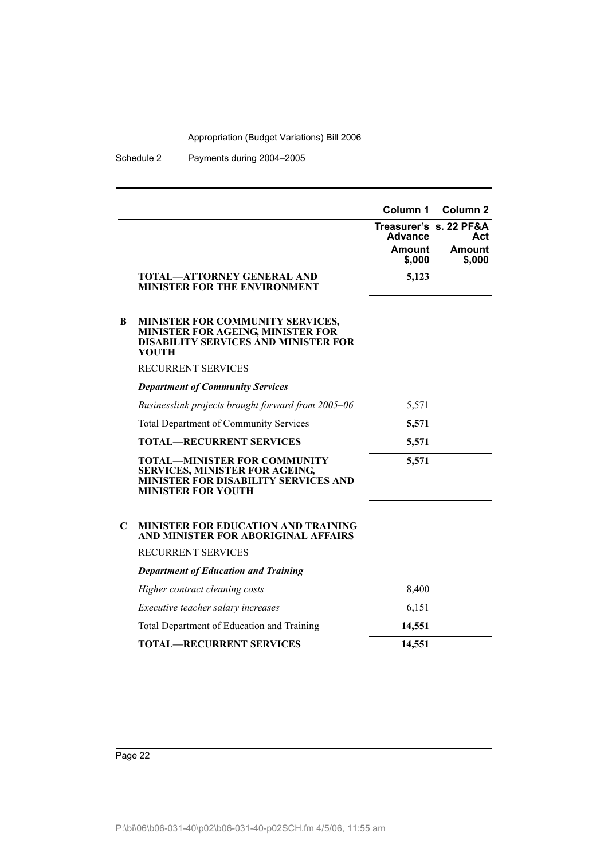Schedule 2 Payments during 2004–2005

|    |                                                                                                                                                   | Column 1<br>Advance | Column <sub>2</sub><br>Treasurer's s. 22 PF&A<br>Act |
|----|---------------------------------------------------------------------------------------------------------------------------------------------------|---------------------|------------------------------------------------------|
|    |                                                                                                                                                   | Amount<br>\$,000    | <b>Amount</b><br>\$,000                              |
|    | <b>TOTAL—ATTORNEY GENERAL AND</b><br><b>MINISTER FOR THE ENVIRONMENT</b>                                                                          | 5,123               |                                                      |
| B. | MINISTER FOR COMMUNITY SERVICES,<br><b>MINISTER FOR AGEING, MINISTER FOR</b><br><b>DISABILITY SERVICES AND MINISTER FOR</b><br><b>YOUTH</b>       |                     |                                                      |
|    | RECURRENT SERVICES                                                                                                                                |                     |                                                      |
|    | <b>Department of Community Services</b>                                                                                                           |                     |                                                      |
|    | Businesslink projects brought forward from 2005-06                                                                                                | 5,571               |                                                      |
|    | <b>Total Department of Community Services</b>                                                                                                     | 5,571               |                                                      |
|    | <b>TOTAL—RECURRENT SERVICES</b>                                                                                                                   | 5,571               |                                                      |
|    | <b>TOTAL-MINISTER FOR COMMUNITY</b><br><b>SERVICES, MINISTER FOR AGEING,</b><br>MINISTER FOR DISABILITY SERVICES AND<br><b>MINISTER FOR YOUTH</b> | 5,571               |                                                      |
| C  | <b>MINISTER FOR EDUCATION AND TRAINING</b><br>AND MINISTER FOR ABORIGINAL AFFAIRS<br><b>RECURRENT SERVICES</b>                                    |                     |                                                      |
|    | <b>Department of Education and Training</b>                                                                                                       |                     |                                                      |
|    | Higher contract cleaning costs                                                                                                                    | 8,400               |                                                      |
|    | <i>Executive teacher salary increases</i>                                                                                                         | 6,151               |                                                      |
|    | Total Department of Education and Training                                                                                                        | 14,551              |                                                      |
|    | <b>TOTAL—RECURRENT SERVICES</b>                                                                                                                   | 14,551              |                                                      |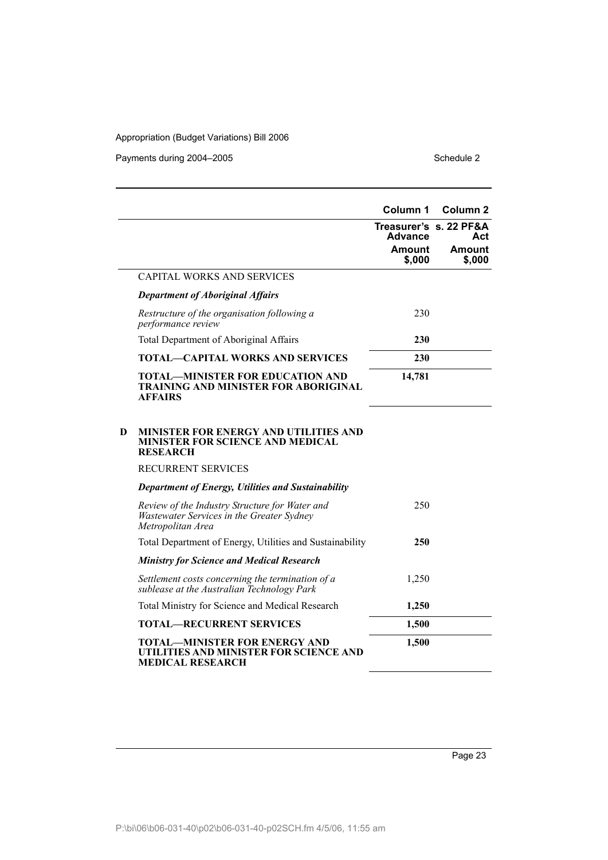Payments during 2004–2005 Schedule 2

|   |                                                                                                                  | <b>Column 1</b>         | Column <sub>2</sub>           |
|---|------------------------------------------------------------------------------------------------------------------|-------------------------|-------------------------------|
|   |                                                                                                                  | <b>Advance</b>          | Treasurer's s. 22 PF&A<br>Act |
|   |                                                                                                                  | <b>Amount</b><br>\$,000 | <b>Amount</b><br>\$,000       |
|   | <b>CAPITAL WORKS AND SERVICES</b>                                                                                |                         |                               |
|   | <b>Department of Aboriginal Affairs</b>                                                                          |                         |                               |
|   | Restructure of the organisation following a<br>performance review                                                | 230                     |                               |
|   | Total Department of Aboriginal Affairs                                                                           | 230                     |                               |
|   | <b>TOTAL—CAPITAL WORKS AND SERVICES</b>                                                                          | 230                     |                               |
|   | <b>TOTAL—MINISTER FOR EDUCATION AND</b><br><b>TRAINING AND MINISTER FOR ABORIGINAL</b><br><b>AFFAIRS</b>         | 14,781                  |                               |
| D | <b>MINISTER FOR ENERGY AND UTILITIES AND</b><br><b>MINISTER FOR SCIENCE AND MEDICAL</b><br><b>RESEARCH</b>       |                         |                               |
|   | RECURRENT SERVICES                                                                                               |                         |                               |
|   | <b>Department of Energy, Utilities and Sustainability</b>                                                        |                         |                               |
|   | Review of the Industry Structure for Water and<br>Wastewater Services in the Greater Sydney<br>Metropolitan Area | 250                     |                               |
|   | Total Department of Energy, Utilities and Sustainability                                                         | 250                     |                               |
|   | <b>Ministry for Science and Medical Research</b>                                                                 |                         |                               |
|   | Settlement costs concerning the termination of a<br>sublease at the Australian Technology Park                   | 1,250                   |                               |
|   | Total Ministry for Science and Medical Research                                                                  | 1,250                   |                               |
|   | <b>TOTAL-RECURRENT SERVICES</b>                                                                                  | 1,500                   |                               |
|   | <b>TOTAL—MINISTER FOR ENERGY AND</b><br>UTILITIES AND MINISTER FOR SCIENCE AND<br><b>MEDICAL RESEARCH</b>        | 1,500                   |                               |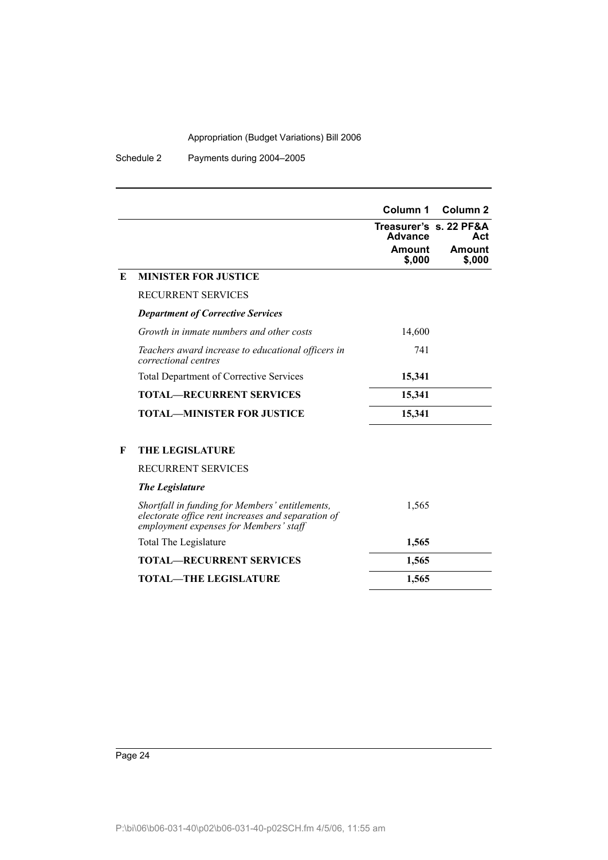Schedule 2 Payments during 2004–2005

|   |                                                                                                                                                 | Column 1                          | Column <sub>2</sub> |
|---|-------------------------------------------------------------------------------------------------------------------------------------------------|-----------------------------------|---------------------|
|   |                                                                                                                                                 | Treasurer's s. 22 PF&A<br>Advance | Act                 |
|   |                                                                                                                                                 | <b>Amount</b><br>\$,000           | Amount<br>\$,000    |
| E | <b>MINISTER FOR JUSTICE</b>                                                                                                                     |                                   |                     |
|   | <b>RECURRENT SERVICES</b>                                                                                                                       |                                   |                     |
|   | <b>Department of Corrective Services</b>                                                                                                        |                                   |                     |
|   | Growth in inmate numbers and other costs                                                                                                        | 14,600                            |                     |
|   | Teachers award increase to educational officers in<br>correctional centres                                                                      | 741                               |                     |
|   | <b>Total Department of Corrective Services</b>                                                                                                  | 15,341                            |                     |
|   | <b>TOTAL—RECURRENT SERVICES</b>                                                                                                                 | 15,341                            |                     |
|   | TOTAL—MINISTER FOR JUSTICE                                                                                                                      | 15,341                            |                     |
| F | <b>THE LEGISLATURE</b>                                                                                                                          |                                   |                     |
|   | <b>RECURRENT SERVICES</b>                                                                                                                       |                                   |                     |
|   | <b>The Legislature</b>                                                                                                                          |                                   |                     |
|   | Shortfall in funding for Members' entitlements,<br>electorate office rent increases and separation of<br>employment expenses for Members' staff | 1,565                             |                     |
|   | <b>Total The Legislature</b>                                                                                                                    | 1,565                             |                     |
|   | <b>TOTAL—RECURRENT SERVICES</b>                                                                                                                 | 1,565                             |                     |
|   | TOTAL—THE LEGISLATURE                                                                                                                           | 1,565                             |                     |
|   |                                                                                                                                                 |                                   |                     |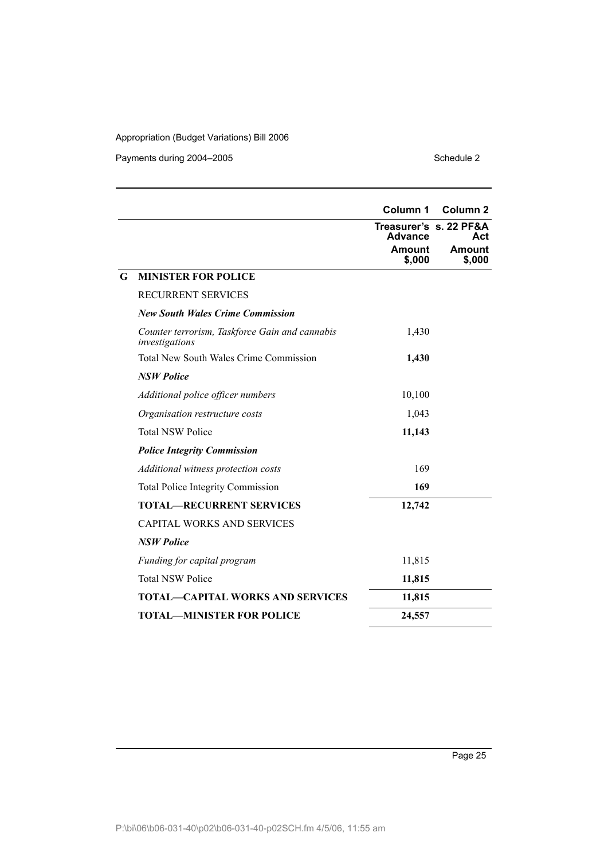Payments during 2004–2005 Schedule 2

|   |                                                                  | Column 1                                 | Column <sub>2</sub> |
|---|------------------------------------------------------------------|------------------------------------------|---------------------|
|   |                                                                  | Treasurer's s. 22 PF&A<br><b>Advance</b> | Act                 |
|   |                                                                  | <b>Amount</b><br>\$,000                  | Amount<br>\$,000    |
| G | <b>MINISTER FOR POLICE</b>                                       |                                          |                     |
|   | RECURRENT SERVICES                                               |                                          |                     |
|   | <b>New South Wales Crime Commission</b>                          |                                          |                     |
|   | Counter terrorism, Taskforce Gain and cannabis<br>investigations | 1,430                                    |                     |
|   | <b>Total New South Wales Crime Commission</b>                    | 1,430                                    |                     |
|   | <b>NSW Police</b>                                                |                                          |                     |
|   | Additional police officer numbers                                | 10,100                                   |                     |
|   | Organisation restructure costs                                   | 1,043                                    |                     |
|   | <b>Total NSW Police</b>                                          | 11,143                                   |                     |
|   | <b>Police Integrity Commission</b>                               |                                          |                     |
|   | Additional witness protection costs                              | 169                                      |                     |
|   | <b>Total Police Integrity Commission</b>                         | 169                                      |                     |
|   | <b>TOTAL—RECURRENT SERVICES</b>                                  | 12,742                                   |                     |
|   | <b>CAPITAL WORKS AND SERVICES</b>                                |                                          |                     |
|   | <b>NSW Police</b>                                                |                                          |                     |
|   | Funding for capital program                                      | 11,815                                   |                     |
|   | <b>Total NSW Police</b>                                          | 11,815                                   |                     |
|   | <b>TOTAL—CAPITAL WORKS AND SERVICES</b>                          | 11,815                                   |                     |
|   | <b>TOTAL-MINISTER FOR POLICE</b>                                 | 24,557                                   |                     |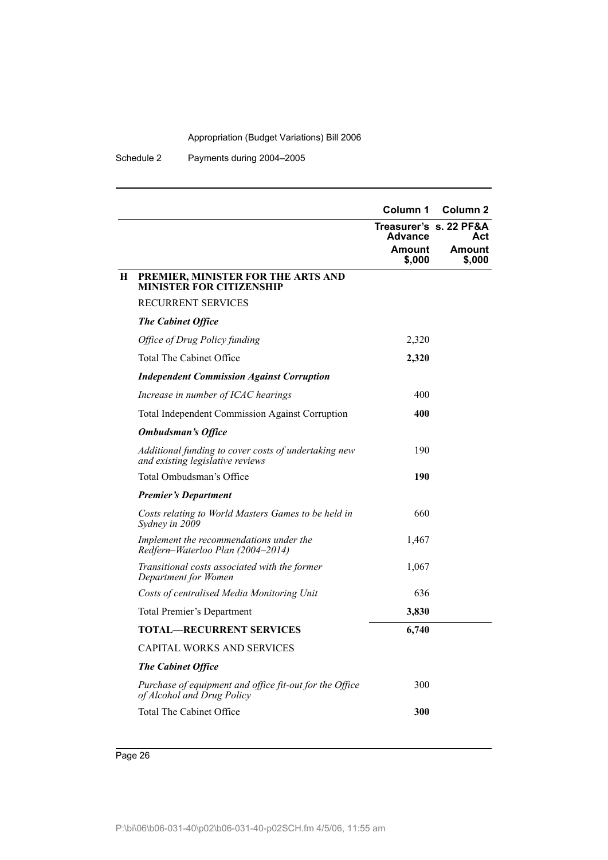Schedule 2 Payments during 2004–2005

|   |                                                                                          | Column 1                                              | Column <sub>2</sub>     |
|---|------------------------------------------------------------------------------------------|-------------------------------------------------------|-------------------------|
|   |                                                                                          | Treasurer's s. 22 PF&A<br>Advance<br>Amount<br>\$,000 | Act<br>Amount<br>\$,000 |
|   |                                                                                          |                                                       |                         |
| Н | PREMIER, MINISTER FOR THE ARTS AND<br><b>MINISTER FOR CITIZENSHIP</b>                    |                                                       |                         |
|   | RECURRENT SERVICES                                                                       |                                                       |                         |
|   | <b>The Cabinet Office</b>                                                                |                                                       |                         |
|   | Office of Drug Policy funding                                                            | 2,320                                                 |                         |
|   | Total The Cabinet Office                                                                 | 2,320                                                 |                         |
|   | <b>Independent Commission Against Corruption</b>                                         |                                                       |                         |
|   | Increase in number of ICAC hearings                                                      | 400                                                   |                         |
|   | <b>Total Independent Commission Against Corruption</b>                                   | 400                                                   |                         |
|   | <b>Ombudsman's Office</b>                                                                |                                                       |                         |
|   | Additional funding to cover costs of undertaking new<br>and existing legislative reviews | 190                                                   |                         |
|   | Total Ombudsman's Office                                                                 | <b>190</b>                                            |                         |
|   | <b>Premier's Department</b>                                                              |                                                       |                         |
|   | Costs relating to World Masters Games to be held in<br>Sydney in 2009                    | 660                                                   |                         |
|   | Implement the recommendations under the<br>Redfern-Waterloo Plan (2004-2014)             | 1,467                                                 |                         |
|   | Transitional costs associated with the former<br>Department for Women                    | 1,067                                                 |                         |
|   | Costs of centralised Media Monitoring Unit                                               | 636                                                   |                         |
|   | Total Premier's Department                                                               | 3,830                                                 |                         |
|   | <b>TOTAL—RECURRENT SERVICES</b>                                                          | 6,740                                                 |                         |
|   | <b>CAPITAL WORKS AND SERVICES</b>                                                        |                                                       |                         |
|   | The Cabinet Office                                                                       |                                                       |                         |
|   | Purchase of equipment and office fit-out for the Office<br>of Alcohol and Drug Policy    | 300                                                   |                         |
|   | <b>Total The Cabinet Office</b>                                                          | 300                                                   |                         |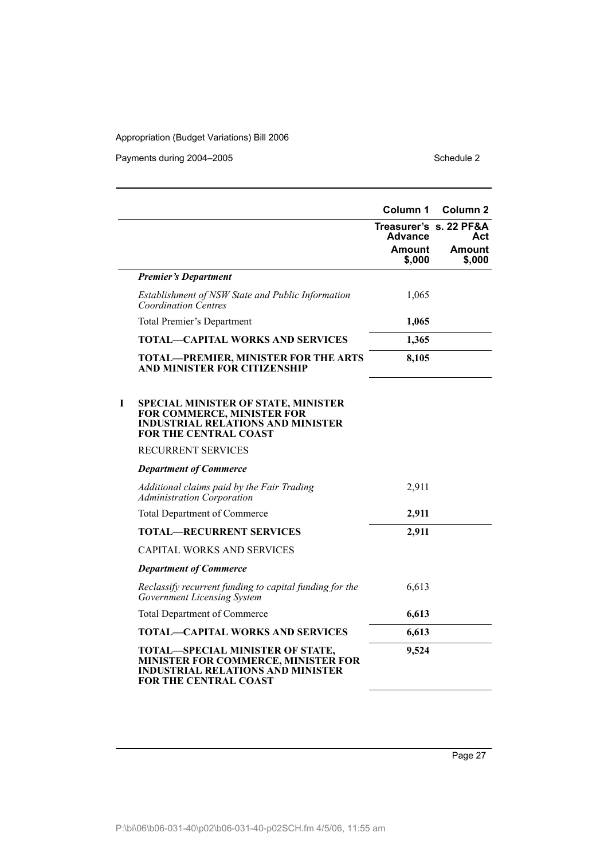Payments during 2004–2005 Schedule 2

|   |                                                                                                                                                     | Column 1                | Column <sub>2</sub>           |
|---|-----------------------------------------------------------------------------------------------------------------------------------------------------|-------------------------|-------------------------------|
|   |                                                                                                                                                     | Advance                 | Treasurer's s. 22 PF&A<br>Act |
|   |                                                                                                                                                     | <b>Amount</b><br>\$,000 | <b>Amount</b><br>\$,000       |
|   | <b>Premier's Department</b>                                                                                                                         |                         |                               |
|   | Establishment of NSW State and Public Information<br><b>Coordination Centres</b>                                                                    | 1,065                   |                               |
|   | Total Premier's Department                                                                                                                          | 1,065                   |                               |
|   | <b>TOTAL—CAPITAL WORKS AND SERVICES</b>                                                                                                             | 1,365                   |                               |
|   | <b>TOTAL—PREMIER, MINISTER FOR THE ARTS</b><br>AND MINISTER FOR CITIZENSHIP                                                                         | 8,105                   |                               |
| I | SPECIAL MINISTER OF STATE, MINISTER<br>FOR COMMERCE, MINISTER FOR<br><b>INDUSTRIAL RELATIONS AND MINISTER</b><br><b>FOR THE CENTRAL COAST</b>       |                         |                               |
|   | <b>RECURRENT SERVICES</b>                                                                                                                           |                         |                               |
|   | <b>Department of Commerce</b>                                                                                                                       |                         |                               |
|   | Additional claims paid by the Fair Trading<br><b>Administration Corporation</b>                                                                     | 2,911                   |                               |
|   | Total Department of Commerce                                                                                                                        | 2,911                   |                               |
|   | <b>TOTAL—RECURRENT SERVICES</b>                                                                                                                     | 2,911                   |                               |
|   | <b>CAPITAL WORKS AND SERVICES</b>                                                                                                                   |                         |                               |
|   | <b>Department of Commerce</b>                                                                                                                       |                         |                               |
|   | Reclassify recurrent funding to capital funding for the<br><b>Government Licensing System</b>                                                       | 6,613                   |                               |
|   | Total Department of Commerce                                                                                                                        | 6,613                   |                               |
|   | <b>TOTAL-CAPITAL WORKS AND SERVICES</b>                                                                                                             | 6,613                   |                               |
|   | TOTAL-SPECIAL MINISTER OF STATE,<br>MINISTER FOR COMMERCE, MINISTER FOR<br><b>INDUSTRIAL RELATIONS AND MINISTER</b><br><b>FOR THE CENTRAL COAST</b> | 9,524                   |                               |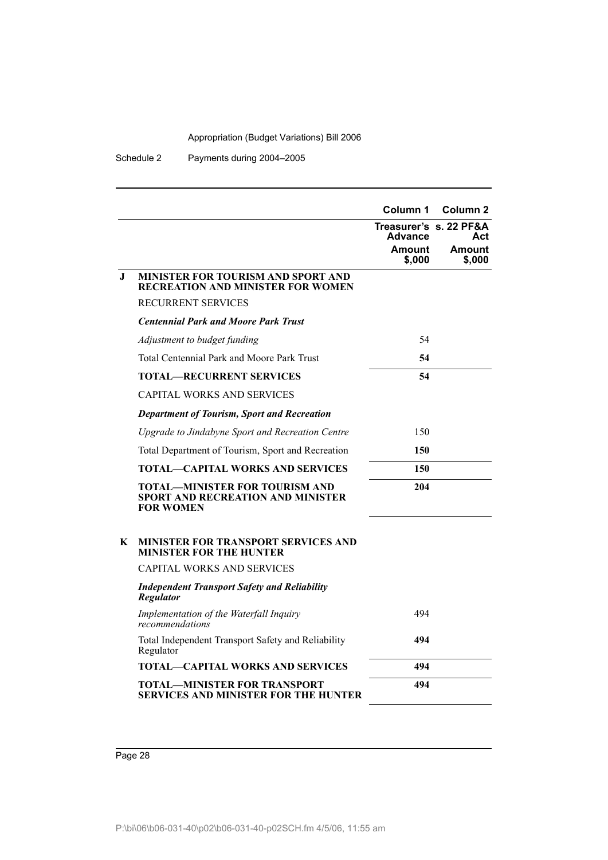Schedule 2 Payments during 2004–2005

|              |                                                                                                       | Column 1         | Column <sub>2</sub>           |
|--------------|-------------------------------------------------------------------------------------------------------|------------------|-------------------------------|
|              |                                                                                                       | <b>Advance</b>   | Treasurer's s. 22 PF&A<br>Act |
|              |                                                                                                       | Amount<br>\$,000 | Amount<br>\$,000              |
| $\mathbf{J}$ | <b>MINISTER FOR TOURISM AND SPORT AND</b><br><b>RECREATION AND MINISTER FOR WOMEN</b>                 |                  |                               |
|              | RECURRENT SERVICES                                                                                    |                  |                               |
|              | <b>Centennial Park and Moore Park Trust</b>                                                           |                  |                               |
|              | Adjustment to budget funding                                                                          | 54               |                               |
|              | <b>Total Centennial Park and Moore Park Trust</b>                                                     | 54               |                               |
|              | <b>TOTAL—RECURRENT SERVICES</b>                                                                       | 54               |                               |
|              | CAPITAL WORKS AND SERVICES                                                                            |                  |                               |
|              | <b>Department of Tourism, Sport and Recreation</b>                                                    |                  |                               |
|              | Upgrade to Jindabyne Sport and Recreation Centre                                                      | 150              |                               |
|              | Total Department of Tourism, Sport and Recreation                                                     | 150              |                               |
|              | <b>TOTAL—CAPITAL WORKS AND SERVICES</b>                                                               | 150              |                               |
|              | <b>TOTAL—MINISTER FOR TOURISM AND</b><br><b>SPORT AND RECREATION AND MINISTER</b><br><b>FOR WOMEN</b> | 204              |                               |
| K            | <b>MINISTER FOR TRANSPORT SERVICES AND</b><br><b>MINISTER FOR THE HUNTER</b>                          |                  |                               |
|              | CAPITAL WORKS AND SERVICES                                                                            |                  |                               |
|              | <b>Independent Transport Safety and Reliability</b><br><b>Regulator</b>                               |                  |                               |
|              | Implementation of the Waterfall Inquiry<br>recommendations                                            | 494              |                               |
|              | Total Independent Transport Safety and Reliability<br>Regulator                                       | 494              |                               |
|              | <b>TOTAL-CAPITAL WORKS AND SERVICES</b>                                                               | 494              |                               |
|              | TOTAL—MINISTER FOR TRANSPORT<br><b>SERVICES AND MINISTER FOR THE HUNTER</b>                           | 494              |                               |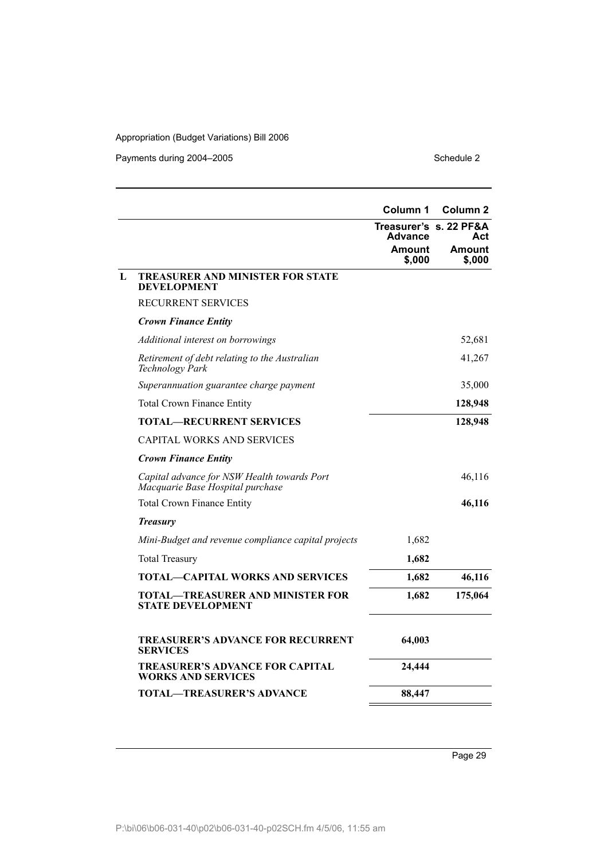Payments during 2004–2005 Schedule 2

|              |                                                                                 | Column 1                | Column <sub>2</sub>                               |
|--------------|---------------------------------------------------------------------------------|-------------------------|---------------------------------------------------|
|              |                                                                                 | Advance                 | Treasurer's s. 22 PF&A<br>Act<br>Amount<br>\$,000 |
|              |                                                                                 | <b>Amount</b><br>\$,000 |                                                   |
| $\mathbf{L}$ | <b>TREASURER AND MINISTER FOR STATE</b><br><b>DEVELOPMENT</b>                   |                         |                                                   |
|              | <b>RECURRENT SERVICES</b>                                                       |                         |                                                   |
|              | <b>Crown Finance Entity</b>                                                     |                         |                                                   |
|              | Additional interest on borrowings                                               |                         | 52,681                                            |
|              | Retirement of debt relating to the Australian<br>Technology Park                |                         | 41,267                                            |
|              | Superannuation guarantee charge payment                                         |                         | 35,000                                            |
|              | <b>Total Crown Finance Entity</b>                                               |                         | 128,948                                           |
|              | <b>TOTAL—RECURRENT SERVICES</b>                                                 |                         | 128,948                                           |
|              | CAPITAL WORKS AND SERVICES                                                      |                         |                                                   |
|              | <b>Crown Finance Entity</b>                                                     |                         |                                                   |
|              | Capital advance for NSW Health towards Port<br>Macquarie Base Hospital purchase |                         | 46,116                                            |
|              | <b>Total Crown Finance Entity</b>                                               |                         | 46,116                                            |
|              | <b>Treasury</b>                                                                 |                         |                                                   |
|              | Mini-Budget and revenue compliance capital projects                             | 1,682                   |                                                   |
|              | <b>Total Treasury</b>                                                           | 1,682                   |                                                   |
|              | TOTAL—CAPITAL WORKS AND SERVICES                                                | 1,682                   | 46,116                                            |
|              | TOTAL—TREASURER AND MINISTER FOR<br><b>STATE DEVELOPMENT</b>                    | 1,682                   | 175,064                                           |
|              | <b>TREASURER'S ADVANCE FOR RECURRENT</b><br><b>SERVICES</b>                     | 64,003                  |                                                   |
|              | TREASURER'S ADVANCE FOR CAPITAL<br><b>WORKS AND SERVICES</b>                    | 24,444                  |                                                   |
|              | <b>TOTAL-TREASURER'S ADVANCE</b>                                                | 88,447                  |                                                   |